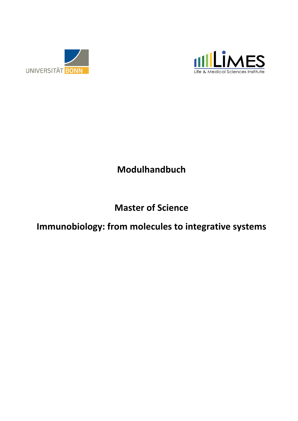



## **Modulhandbuch**

## **Master of Science**

## Immunobiology: from molecules to integrative systems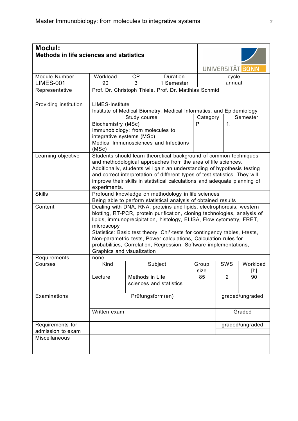| <b>Modul:</b>                         | <b>Methods in life sciences and statistics</b>                                               |                                                                                                                                                                                                                                                                                                                                                                                                                                                                                                                                |                                                                      |               |                  |                 |  |  |  |
|---------------------------------------|----------------------------------------------------------------------------------------------|--------------------------------------------------------------------------------------------------------------------------------------------------------------------------------------------------------------------------------------------------------------------------------------------------------------------------------------------------------------------------------------------------------------------------------------------------------------------------------------------------------------------------------|----------------------------------------------------------------------|---------------|------------------|-----------------|--|--|--|
|                                       |                                                                                              |                                                                                                                                                                                                                                                                                                                                                                                                                                                                                                                                |                                                                      |               | UNIVERSITÄT BONN |                 |  |  |  |
| <b>Module Number</b>                  | Workload                                                                                     | <b>CP</b>                                                                                                                                                                                                                                                                                                                                                                                                                                                                                                                      | Duration                                                             |               | cycle            |                 |  |  |  |
| <b>LIMES-001</b>                      | 90                                                                                           | 3                                                                                                                                                                                                                                                                                                                                                                                                                                                                                                                              | 1 Semester                                                           |               | annual           |                 |  |  |  |
| Representative                        |                                                                                              | Prof. Dr. Christoph Thiele, Prof. Dr. Matthias Schmid                                                                                                                                                                                                                                                                                                                                                                                                                                                                          |                                                                      |               |                  |                 |  |  |  |
| Providing institution                 | <b>LIMES-Institute</b>                                                                       |                                                                                                                                                                                                                                                                                                                                                                                                                                                                                                                                | Institute of Medical Biometry, Medical Informatics, and Epidemiology |               |                  |                 |  |  |  |
|                                       |                                                                                              | Study course                                                                                                                                                                                                                                                                                                                                                                                                                                                                                                                   |                                                                      | Category      |                  | Semester        |  |  |  |
|                                       | Biochemistry (MSc)<br>Immunobiology: from molecules to<br>integrative systems (MSc)<br>(MSc) |                                                                                                                                                                                                                                                                                                                                                                                                                                                                                                                                | Medical Immunosciences and Infections                                | P             | $\mathbf 1$ .    |                 |  |  |  |
| Learning objective                    | experiments.                                                                                 | Students should learn theoretical background of common techniques<br>and methodological approaches from the area of life sciences.<br>Additionally, students will gain an understanding of hypothesis testing<br>and correct interpretation of different types of test statistics. They will<br>improve their skills in statistical calculations and adequate planning of                                                                                                                                                      |                                                                      |               |                  |                 |  |  |  |
| <b>Skills</b>                         |                                                                                              | Profound knowledge on methodology in life sciences                                                                                                                                                                                                                                                                                                                                                                                                                                                                             |                                                                      |               |                  |                 |  |  |  |
| Content                               | microscopy<br>Graphics and visualization                                                     | Being able to perform statistical analysis of obtained results<br>Dealing with DNA, RNA, proteins and lipids, electrophoresis, western<br>blotting, RT-PCR, protein purification, cloning technologies, analysis of<br>lipids, immunoprecipitation, histology, ELISA, Flow cytometry, FRET,<br>Statistics: Basic test theory, Chi <sup>2</sup> -tests for contingency tables, t-tests,<br>Non-parametric tests, Power calculations, Calculation rules for<br>probabilities, Correlation, Regression, Software implementations, |                                                                      |               |                  |                 |  |  |  |
| Requirements                          | none                                                                                         |                                                                                                                                                                                                                                                                                                                                                                                                                                                                                                                                |                                                                      |               |                  |                 |  |  |  |
| Courses                               | Kind                                                                                         |                                                                                                                                                                                                                                                                                                                                                                                                                                                                                                                                | Subject                                                              | Group<br>size | SWS              | Workload<br>[h] |  |  |  |
|                                       | Lecture                                                                                      | Methods in Life                                                                                                                                                                                                                                                                                                                                                                                                                                                                                                                | sciences and statistics                                              | 85            | $\overline{2}$   | 90              |  |  |  |
| Examinations                          |                                                                                              |                                                                                                                                                                                                                                                                                                                                                                                                                                                                                                                                | Prüfungsform(en)                                                     |               |                  | graded/ungraded |  |  |  |
|                                       | Written exam                                                                                 |                                                                                                                                                                                                                                                                                                                                                                                                                                                                                                                                |                                                                      |               |                  | Graded          |  |  |  |
| Requirements for<br>admission to exam |                                                                                              |                                                                                                                                                                                                                                                                                                                                                                                                                                                                                                                                |                                                                      |               |                  | graded/ungraded |  |  |  |
| Miscellaneous                         |                                                                                              |                                                                                                                                                                                                                                                                                                                                                                                                                                                                                                                                |                                                                      |               |                  |                 |  |  |  |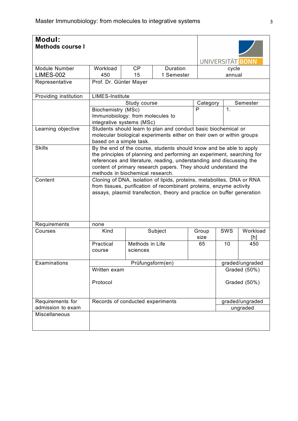| <b>Modul:</b><br><b>Methods course I</b> |                                                                                                                                                                                                                                                                                                                             |                                  |                                                                                                                                         |                  |               |                 |  |  |
|------------------------------------------|-----------------------------------------------------------------------------------------------------------------------------------------------------------------------------------------------------------------------------------------------------------------------------------------------------------------------------|----------------------------------|-----------------------------------------------------------------------------------------------------------------------------------------|------------------|---------------|-----------------|--|--|
|                                          |                                                                                                                                                                                                                                                                                                                             |                                  |                                                                                                                                         | UNIVERSITÄT BONN |               |                 |  |  |
| <b>Module Number</b>                     | Workload                                                                                                                                                                                                                                                                                                                    | <b>CP</b>                        | Duration                                                                                                                                |                  | cycle         |                 |  |  |
| <b>LIMES-002</b>                         | 450                                                                                                                                                                                                                                                                                                                         | 15                               | 1 Semester                                                                                                                              |                  | annual        |                 |  |  |
| Representative                           |                                                                                                                                                                                                                                                                                                                             | Prof. Dr. Günter Mayer           |                                                                                                                                         |                  |               |                 |  |  |
| Providing institution                    | <b>LIMES-Institute</b>                                                                                                                                                                                                                                                                                                      |                                  |                                                                                                                                         |                  |               |                 |  |  |
|                                          |                                                                                                                                                                                                                                                                                                                             | Study course                     |                                                                                                                                         | Category         |               | Semester        |  |  |
|                                          | Biochemistry (MSc)                                                                                                                                                                                                                                                                                                          |                                  |                                                                                                                                         | P                | $\mathbf 1$ . |                 |  |  |
|                                          |                                                                                                                                                                                                                                                                                                                             | Immunobiology: from molecules to |                                                                                                                                         |                  |               |                 |  |  |
|                                          |                                                                                                                                                                                                                                                                                                                             | integrative systems (MSc)        |                                                                                                                                         |                  |               |                 |  |  |
| Learning objective                       |                                                                                                                                                                                                                                                                                                                             | based on a simple task.          | Students should learn to plan and conduct basic biochemical or<br>molecular biological experiments either on their own or within groups |                  |               |                 |  |  |
| <b>Skills</b>                            | By the end of the course, students should know and be able to apply<br>the principles of planning and performing an experiment, searching for<br>references and literature, reading, understanding and discussing the<br>content of primary research papers. They should understand the<br>methods in biochemical research. |                                  |                                                                                                                                         |                  |               |                 |  |  |
| Content                                  | Cloning of DNA, isolation of lipids, proteins, metabolites, DNA or RNA<br>from tissues, purification of recombinant proteins, enzyme activity<br>assays, plasmid transfection, theory and practice on buffer generation                                                                                                     |                                  |                                                                                                                                         |                  |               |                 |  |  |
| Requirements                             | none                                                                                                                                                                                                                                                                                                                        |                                  |                                                                                                                                         |                  |               |                 |  |  |
| Courses                                  | Kind                                                                                                                                                                                                                                                                                                                        |                                  | Subject                                                                                                                                 | Group<br>size    | SWS           | Workload<br>[h] |  |  |
|                                          | Practical<br>course                                                                                                                                                                                                                                                                                                         | Methods in Life<br>sciences      |                                                                                                                                         | 65               | 10            | 450             |  |  |
| Examinations                             |                                                                                                                                                                                                                                                                                                                             |                                  | Prüfungsform(en)                                                                                                                        |                  |               | graded/ungraded |  |  |
|                                          | Written exam                                                                                                                                                                                                                                                                                                                |                                  |                                                                                                                                         |                  |               | Graded (50%)    |  |  |
|                                          | Protocol                                                                                                                                                                                                                                                                                                                    |                                  |                                                                                                                                         |                  |               | Graded (50%)    |  |  |
| Requirements for                         |                                                                                                                                                                                                                                                                                                                             | Records of conducted experiments |                                                                                                                                         |                  |               | graded/ungraded |  |  |
| admission to exam                        |                                                                                                                                                                                                                                                                                                                             |                                  |                                                                                                                                         |                  |               | ungraded        |  |  |
| Miscellaneous                            |                                                                                                                                                                                                                                                                                                                             |                                  |                                                                                                                                         |                  |               |                 |  |  |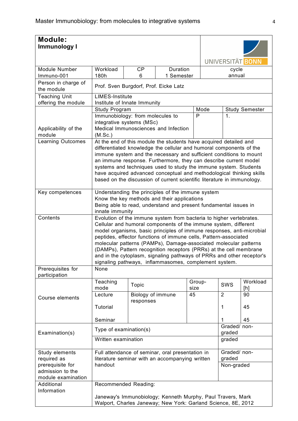| <b>Module:</b><br>Immunology I         |                                                                                                                                      |                                                                                                  |                        |        |      |                        |                                                               |  |  |  |  |  |  |
|----------------------------------------|--------------------------------------------------------------------------------------------------------------------------------------|--------------------------------------------------------------------------------------------------|------------------------|--------|------|------------------------|---------------------------------------------------------------|--|--|--|--|--|--|
|                                        |                                                                                                                                      |                                                                                                  |                        |        |      |                        |                                                               |  |  |  |  |  |  |
|                                        |                                                                                                                                      |                                                                                                  |                        |        |      |                        | UNIVERSITÄT BONN                                              |  |  |  |  |  |  |
| Module Number<br>Immuno-001            | Workload<br>180h                                                                                                                     | <b>CP</b><br>6                                                                                   | Duration<br>1 Semester |        |      | cycle<br>annual        |                                                               |  |  |  |  |  |  |
| Person in charge of<br>the module      |                                                                                                                                      | Prof. Sven Burgdorf, Prof. Eicke Latz                                                            |                        |        |      |                        |                                                               |  |  |  |  |  |  |
| <b>Teaching Unit</b>                   |                                                                                                                                      | <b>LIMES-Institute</b>                                                                           |                        |        |      |                        |                                                               |  |  |  |  |  |  |
| offering the module                    |                                                                                                                                      | Institute of Innate Immunity                                                                     |                        |        |      |                        |                                                               |  |  |  |  |  |  |
|                                        | Study Program                                                                                                                        |                                                                                                  |                        |        | Mode |                        | <b>Study Semester</b>                                         |  |  |  |  |  |  |
|                                        | Immunobiology: from molecules to                                                                                                     |                                                                                                  |                        | P      |      | 1.                     |                                                               |  |  |  |  |  |  |
| Applicability of the<br>module         | integrative systems (MSc)<br>Medical Immunosciences and Infection<br>(M.Sc.)                                                         |                                                                                                  |                        |        |      |                        |                                                               |  |  |  |  |  |  |
| <b>Learning Outcomes</b>               | At the end of this module the students have acquired detailed and                                                                    |                                                                                                  |                        |        |      |                        |                                                               |  |  |  |  |  |  |
|                                        | differentiated knowledge the cellular and humoral components of the                                                                  |                                                                                                  |                        |        |      |                        |                                                               |  |  |  |  |  |  |
|                                        | immune system and the necessary and sufficient conditions to mount                                                                   |                                                                                                  |                        |        |      |                        |                                                               |  |  |  |  |  |  |
|                                        | an immune response. Furthermore, they can describe current model<br>systems and techniques used to study the immune system. Students |                                                                                                  |                        |        |      |                        |                                                               |  |  |  |  |  |  |
|                                        | have acquired advanced conceptual and methodological thinking skills                                                                 |                                                                                                  |                        |        |      |                        |                                                               |  |  |  |  |  |  |
|                                        | based on the discussion of current scientific literature in immunology.                                                              |                                                                                                  |                        |        |      |                        |                                                               |  |  |  |  |  |  |
|                                        |                                                                                                                                      |                                                                                                  |                        |        |      |                        |                                                               |  |  |  |  |  |  |
| Key competences                        |                                                                                                                                      | Understanding the principles of the immune system<br>Know the key methods and their applications |                        |        |      |                        |                                                               |  |  |  |  |  |  |
|                                        |                                                                                                                                      |                                                                                                  |                        |        |      |                        |                                                               |  |  |  |  |  |  |
|                                        | Being able to read, understand and present fundamental issues in<br>innate immunity                                                  |                                                                                                  |                        |        |      |                        |                                                               |  |  |  |  |  |  |
| Contents                               | Evolution of the immune system from bacteria to higher vertebrates.                                                                  |                                                                                                  |                        |        |      |                        |                                                               |  |  |  |  |  |  |
|                                        | Cellular and humoral components of the immune system, different                                                                      |                                                                                                  |                        |        |      |                        |                                                               |  |  |  |  |  |  |
|                                        | model organisms, basic principles of immune responses, anti-microbial                                                                |                                                                                                  |                        |        |      |                        |                                                               |  |  |  |  |  |  |
|                                        | peptides, effector functions of immune cells, Pattern-associated<br>molecular patterns (PAMPs), Damage-associated molecular patterns |                                                                                                  |                        |        |      |                        |                                                               |  |  |  |  |  |  |
|                                        | (DAMPs), Pattern recognition receptors (PRRs) at the cell membrane                                                                   |                                                                                                  |                        |        |      |                        |                                                               |  |  |  |  |  |  |
|                                        | and in the cytoplasm, signaling pathways of PRRs and other receptor's                                                                |                                                                                                  |                        |        |      |                        |                                                               |  |  |  |  |  |  |
|                                        | signaling pathways, inflammasomes, complement system.                                                                                |                                                                                                  |                        |        |      |                        |                                                               |  |  |  |  |  |  |
| Prerequisites for<br>participation     | None                                                                                                                                 |                                                                                                  |                        |        |      |                        |                                                               |  |  |  |  |  |  |
|                                        | Teaching                                                                                                                             |                                                                                                  |                        | Group- |      |                        | Workload                                                      |  |  |  |  |  |  |
|                                        | mode                                                                                                                                 | Topic                                                                                            |                        | size   |      | SWS                    | [h]                                                           |  |  |  |  |  |  |
| Course elements                        | Lecture                                                                                                                              | Biology of immune<br>responses                                                                   |                        | 45     |      | $\overline{2}$         | 90                                                            |  |  |  |  |  |  |
|                                        | Tutorial                                                                                                                             |                                                                                                  |                        |        |      | 1                      | 45                                                            |  |  |  |  |  |  |
|                                        | Seminar                                                                                                                              |                                                                                                  |                        |        |      | 1                      | 45                                                            |  |  |  |  |  |  |
| Examination(s)                         | Type of examination(s)                                                                                                               |                                                                                                  |                        |        |      | Graded/ non-<br>graded |                                                               |  |  |  |  |  |  |
|                                        | Written examination                                                                                                                  |                                                                                                  |                        |        |      | graded                 |                                                               |  |  |  |  |  |  |
| Study elements                         | Full attendance of seminar, oral presentation in                                                                                     |                                                                                                  |                        |        |      | Graded/ non-           |                                                               |  |  |  |  |  |  |
| required as                            | literature seminar with an accompanying written                                                                                      |                                                                                                  |                        |        |      | graded                 |                                                               |  |  |  |  |  |  |
| prerequisite for                       | handout                                                                                                                              |                                                                                                  |                        |        |      | Non-graded             |                                                               |  |  |  |  |  |  |
| admission to the<br>module examination |                                                                                                                                      |                                                                                                  |                        |        |      |                        |                                                               |  |  |  |  |  |  |
| Additional                             | Recommended Reading:                                                                                                                 |                                                                                                  |                        |        |      |                        |                                                               |  |  |  |  |  |  |
| Information                            |                                                                                                                                      |                                                                                                  |                        |        |      |                        |                                                               |  |  |  |  |  |  |
|                                        | Janeway's Immunobiology; Kenneth Murphy, Paul Travers, Mark                                                                          |                                                                                                  |                        |        |      |                        |                                                               |  |  |  |  |  |  |
|                                        |                                                                                                                                      |                                                                                                  |                        |        |      |                        | Walport, Charles Janeway; New York: Garland Science, 8E, 2012 |  |  |  |  |  |  |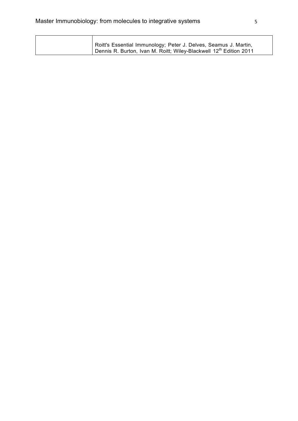| Roitt's Essential Immunology; Peter J. Delves, Seamus J. Martin,                            |
|---------------------------------------------------------------------------------------------|
| <sup>1</sup> Dennis R. Burton, Ivan M. Roitt; Wiley-Blackwell 12 <sup>th</sup> Edition 2011 |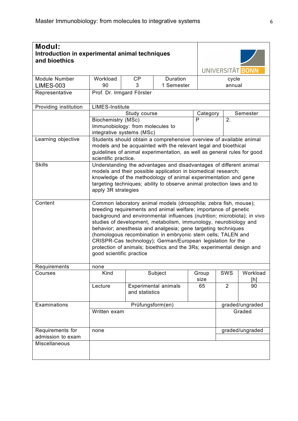| <b>Modul:</b><br>and bioethics        | Introduction in experimental animal techniques                                      |                                                                                                                                                                                                                                                                                                                                                                                                                                                                                                                                                                                          |                                                                                                                                                                                                                   |               |                | UNIVERSITÄT BONN |  |  |  |
|---------------------------------------|-------------------------------------------------------------------------------------|------------------------------------------------------------------------------------------------------------------------------------------------------------------------------------------------------------------------------------------------------------------------------------------------------------------------------------------------------------------------------------------------------------------------------------------------------------------------------------------------------------------------------------------------------------------------------------------|-------------------------------------------------------------------------------------------------------------------------------------------------------------------------------------------------------------------|---------------|----------------|------------------|--|--|--|
| Module Number                         | Workload                                                                            | <b>CP</b>                                                                                                                                                                                                                                                                                                                                                                                                                                                                                                                                                                                | Duration                                                                                                                                                                                                          |               | cycle          |                  |  |  |  |
| <b>LIMES-003</b>                      | 90                                                                                  | 3                                                                                                                                                                                                                                                                                                                                                                                                                                                                                                                                                                                        | 1 Semester                                                                                                                                                                                                        |               | annual         |                  |  |  |  |
| Representative                        |                                                                                     | Prof. Dr. Irmgard Förster                                                                                                                                                                                                                                                                                                                                                                                                                                                                                                                                                                |                                                                                                                                                                                                                   |               |                |                  |  |  |  |
| Providing institution                 | <b>LIMES-Institute</b>                                                              |                                                                                                                                                                                                                                                                                                                                                                                                                                                                                                                                                                                          |                                                                                                                                                                                                                   |               |                |                  |  |  |  |
|                                       |                                                                                     | Study course                                                                                                                                                                                                                                                                                                                                                                                                                                                                                                                                                                             | Category                                                                                                                                                                                                          |               | Semester       |                  |  |  |  |
|                                       | Biochemistry (MSc)<br>Immunobiology: from molecules to<br>integrative systems (MSc) |                                                                                                                                                                                                                                                                                                                                                                                                                                                                                                                                                                                          |                                                                                                                                                                                                                   | P             | 2.             |                  |  |  |  |
| Learning objective                    | scientific practice.                                                                |                                                                                                                                                                                                                                                                                                                                                                                                                                                                                                                                                                                          | Students should obtain a comprehensive overview of available animal<br>models and be acquainted with the relevant legal and bioethical<br>guidelines of animal experimentation, as well as general rules for good |               |                |                  |  |  |  |
| <b>Skills</b>                         |                                                                                     | Understanding the advantages and disadvantages of different animal<br>models and their possible application in biomedical research;<br>knowledge of the methodology of animal experimentation and gene<br>targeting techniques; ability to observe animal protection laws and to<br>apply 3R strategies                                                                                                                                                                                                                                                                                  |                                                                                                                                                                                                                   |               |                |                  |  |  |  |
| Content                               |                                                                                     | Common laboratory animal models (drosophila; zebra fish, mouse);<br>breeding requirements and animal welfare; importance of genetic<br>background and environmental influences (nutrition; microbiota); in vivo<br>studies of development, metabolism, immunology, neurobiology and<br>behavior; anesthesia and analgesia; gene targeting techniques<br>(homologous recombination in embryonic stem cells; TALEN and<br>CRISPR-Cas technology); German/European legislation for the<br>protection of animals; bioethics and the 3Rs; experimental design and<br>good scientific practice |                                                                                                                                                                                                                   |               |                |                  |  |  |  |
| Requirements                          | none                                                                                |                                                                                                                                                                                                                                                                                                                                                                                                                                                                                                                                                                                          |                                                                                                                                                                                                                   |               |                |                  |  |  |  |
| Courses                               | Kind                                                                                |                                                                                                                                                                                                                                                                                                                                                                                                                                                                                                                                                                                          | Subject                                                                                                                                                                                                           | Group<br>size | SWS            | Workload<br>[h]  |  |  |  |
|                                       | Lecture                                                                             | and statistics                                                                                                                                                                                                                                                                                                                                                                                                                                                                                                                                                                           | <b>Experimental animals</b>                                                                                                                                                                                       | 65            | $\overline{2}$ | 90               |  |  |  |
| Examinations                          |                                                                                     | Prüfungsform(en)                                                                                                                                                                                                                                                                                                                                                                                                                                                                                                                                                                         |                                                                                                                                                                                                                   |               |                | graded/ungraded  |  |  |  |
|                                       | Written exam                                                                        |                                                                                                                                                                                                                                                                                                                                                                                                                                                                                                                                                                                          |                                                                                                                                                                                                                   |               |                | Graded           |  |  |  |
| Requirements for<br>admission to exam | none                                                                                |                                                                                                                                                                                                                                                                                                                                                                                                                                                                                                                                                                                          |                                                                                                                                                                                                                   |               |                | graded/ungraded  |  |  |  |
| Miscellaneous                         |                                                                                     |                                                                                                                                                                                                                                                                                                                                                                                                                                                                                                                                                                                          |                                                                                                                                                                                                                   |               |                |                  |  |  |  |
|                                       |                                                                                     |                                                                                                                                                                                                                                                                                                                                                                                                                                                                                                                                                                                          |                                                                                                                                                                                                                   |               |                |                  |  |  |  |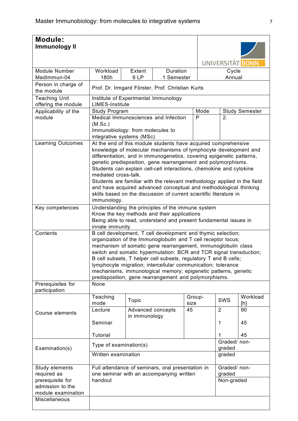| <b>Module:</b><br><b>Immunology II</b>      |                                                                                 |                                                                    |                                                                                                                                      |        |   |                        |                  |  |  |
|---------------------------------------------|---------------------------------------------------------------------------------|--------------------------------------------------------------------|--------------------------------------------------------------------------------------------------------------------------------------|--------|---|------------------------|------------------|--|--|
|                                             |                                                                                 |                                                                    |                                                                                                                                      |        |   |                        |                  |  |  |
|                                             |                                                                                 |                                                                    |                                                                                                                                      |        |   |                        | UNIVERSITÄT BONN |  |  |
| Module Number                               | Workload                                                                        | Extent                                                             | Duration                                                                                                                             |        |   | Cycle                  |                  |  |  |
| MedImmun-04                                 | 180h                                                                            | 6LP                                                                | 1 Semester                                                                                                                           |        |   | Annual                 |                  |  |  |
| Person in charge of<br>the module           |                                                                                 | Prof. Dr. Irmgard Förster, Prof. Christian Kurts                   |                                                                                                                                      |        |   |                        |                  |  |  |
| <b>Teaching Unit</b><br>offering the module | Institute of Experimental Immunology<br><b>LIMES-Institute</b>                  |                                                                    |                                                                                                                                      |        |   |                        |                  |  |  |
| Applicability of the                        | Mode<br><b>Study Semester</b><br><b>Study Program</b>                           |                                                                    |                                                                                                                                      |        |   |                        |                  |  |  |
| module                                      |                                                                                 |                                                                    | Medical Immunosciences and Infection                                                                                                 |        | P | 2.                     |                  |  |  |
|                                             | (M.Sc.)                                                                         |                                                                    |                                                                                                                                      |        |   |                        |                  |  |  |
|                                             | Immunobiology: from molecules to<br>integrative systems (MSc)                   |                                                                    |                                                                                                                                      |        |   |                        |                  |  |  |
| <b>Learning Outcomes</b>                    |                                                                                 |                                                                    | At the end of this module students have acquired comprehensive                                                                       |        |   |                        |                  |  |  |
|                                             |                                                                                 |                                                                    | knowledge of molecular mechanisms of lymphocyte development and                                                                      |        |   |                        |                  |  |  |
|                                             |                                                                                 |                                                                    | differentiation, and in immunogenetics, covering epigenetic patterns,                                                                |        |   |                        |                  |  |  |
|                                             |                                                                                 |                                                                    | genetic predisposition, gene rearrangement and polymorphisms.<br>Students can explain cell-cell interactions, chemokine and cytokine |        |   |                        |                  |  |  |
|                                             | mediated cross-talk.                                                            |                                                                    |                                                                                                                                      |        |   |                        |                  |  |  |
|                                             |                                                                                 |                                                                    | Students are familiar with the relevant methodology applied in the field                                                             |        |   |                        |                  |  |  |
|                                             |                                                                                 |                                                                    | and have acquired advanced conceptual and methodological thinking                                                                    |        |   |                        |                  |  |  |
|                                             | immunology.                                                                     | skills based on the discussion of current scientific literature in |                                                                                                                                      |        |   |                        |                  |  |  |
| Key competences                             | Understanding the principles of the immune system                               |                                                                    |                                                                                                                                      |        |   |                        |                  |  |  |
|                                             |                                                                                 |                                                                    | Know the key methods and their applications                                                                                          |        |   |                        |                  |  |  |
|                                             | Being able to read, understand and present fundamental issues in                |                                                                    |                                                                                                                                      |        |   |                        |                  |  |  |
| Contents                                    | innate immunity<br>B cell development, T cell development and thymic selection; |                                                                    |                                                                                                                                      |        |   |                        |                  |  |  |
|                                             |                                                                                 |                                                                    | organization of the Immunoglobulin and T cell receptor locus;                                                                        |        |   |                        |                  |  |  |
|                                             |                                                                                 |                                                                    | mechanism of somatic gene rearrangement, immunoglobulin class                                                                        |        |   |                        |                  |  |  |
|                                             |                                                                                 |                                                                    | switch and somatic hypermutation; BCR and TCR signal transduction;                                                                   |        |   |                        |                  |  |  |
|                                             |                                                                                 |                                                                    | B cell subsets, T helper cell subsets, regulatory T and B cells;<br>lymphocyte migration; intercellular communication; tolerance     |        |   |                        |                  |  |  |
|                                             |                                                                                 |                                                                    | mechanisms, immunological memory; epigenetic patterns, genetic                                                                       |        |   |                        |                  |  |  |
|                                             |                                                                                 |                                                                    | predisposition, gene rearrangement and polymorphisms.                                                                                |        |   |                        |                  |  |  |
| Prerequisites for                           | None                                                                            |                                                                    |                                                                                                                                      |        |   |                        |                  |  |  |
| participation                               | Teaching                                                                        |                                                                    |                                                                                                                                      | Group- |   |                        | Workload         |  |  |
|                                             | mode                                                                            | Topic                                                              |                                                                                                                                      | size   |   | SWS                    | [h]              |  |  |
| Course elements                             | Lecture                                                                         | Advanced concepts                                                  |                                                                                                                                      | 45     |   | $\overline{2}$         | 90               |  |  |
|                                             | Seminar                                                                         | in immunology                                                      |                                                                                                                                      |        |   | 1                      | 45               |  |  |
|                                             |                                                                                 |                                                                    |                                                                                                                                      |        |   |                        |                  |  |  |
|                                             | Tutorial                                                                        |                                                                    |                                                                                                                                      |        |   |                        | 45               |  |  |
|                                             | Type of examination(s)                                                          |                                                                    |                                                                                                                                      |        |   | Graded/ non-<br>graded |                  |  |  |
| Examination(s)                              | Written examination                                                             |                                                                    |                                                                                                                                      |        |   | graded                 |                  |  |  |
|                                             |                                                                                 |                                                                    |                                                                                                                                      |        |   |                        |                  |  |  |
| Study elements                              |                                                                                 |                                                                    | Full attendance of seminars, oral presentation in                                                                                    |        |   | Graded/ non-           |                  |  |  |
| required as                                 |                                                                                 |                                                                    | one seminar with an accompanying written                                                                                             |        |   | graded                 |                  |  |  |
| prerequisite for<br>admission to the        | handout                                                                         |                                                                    |                                                                                                                                      |        |   | Non-graded             |                  |  |  |
| module examination                          |                                                                                 |                                                                    |                                                                                                                                      |        |   |                        |                  |  |  |
| Miscellaneous                               |                                                                                 |                                                                    |                                                                                                                                      |        |   |                        |                  |  |  |
|                                             |                                                                                 |                                                                    |                                                                                                                                      |        |   |                        |                  |  |  |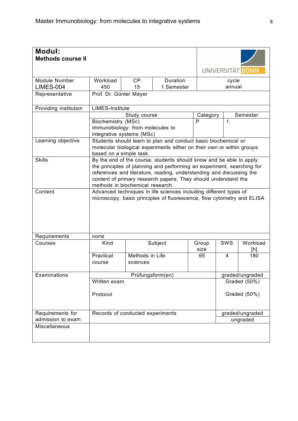| <b>Modul:</b><br><b>Methods course II</b> |                                                                                                                                             |                                                                                                                                                                                                                                                                                                                             |                                                                                                                                         |               |                | UNIVERSITÄT BONN |  |  |
|-------------------------------------------|---------------------------------------------------------------------------------------------------------------------------------------------|-----------------------------------------------------------------------------------------------------------------------------------------------------------------------------------------------------------------------------------------------------------------------------------------------------------------------------|-----------------------------------------------------------------------------------------------------------------------------------------|---------------|----------------|------------------|--|--|
| Module Number                             | Workload                                                                                                                                    | <b>CP</b>                                                                                                                                                                                                                                                                                                                   | Duration                                                                                                                                |               | cycle          |                  |  |  |
| LIMES-004                                 | 450                                                                                                                                         | 15                                                                                                                                                                                                                                                                                                                          | 1 Semester                                                                                                                              |               | annual         |                  |  |  |
| Representative                            |                                                                                                                                             | Prof. Dr. Günter Mayer                                                                                                                                                                                                                                                                                                      |                                                                                                                                         |               |                |                  |  |  |
| Providing institution                     | <b>LIMES-Institute</b>                                                                                                                      |                                                                                                                                                                                                                                                                                                                             |                                                                                                                                         |               |                |                  |  |  |
|                                           |                                                                                                                                             | Study course                                                                                                                                                                                                                                                                                                                |                                                                                                                                         | Category      |                | Semester         |  |  |
|                                           | Biochemistry (MSc)                                                                                                                          | Immunobiology: from molecules to<br>integrative systems (MSc)                                                                                                                                                                                                                                                               |                                                                                                                                         | P             | $\mathbf{1}$ . |                  |  |  |
| Learning objective                        | based on a simple task.                                                                                                                     |                                                                                                                                                                                                                                                                                                                             | Students should learn to plan and conduct basic biochemical or<br>molecular biological experiments either on their own or within groups |               |                |                  |  |  |
| <b>Skills</b>                             |                                                                                                                                             | By the end of the course, students should know and be able to apply<br>the principles of planning and performing an experiment, searching for<br>references and literature, reading, understanding and discussing the<br>content of primary research papers. They should understand the<br>methods in biochemical research. |                                                                                                                                         |               |                |                  |  |  |
| Content                                   | Advanced techniques in life sciences including different types of<br>microscopy, basic principles of fluorescence, flow cytometry and ELISA |                                                                                                                                                                                                                                                                                                                             |                                                                                                                                         |               |                |                  |  |  |
| Requirements                              | none                                                                                                                                        |                                                                                                                                                                                                                                                                                                                             |                                                                                                                                         |               |                |                  |  |  |
| Courses                                   | Kind                                                                                                                                        |                                                                                                                                                                                                                                                                                                                             | Subject                                                                                                                                 | Group<br>size | SWS            | Workload<br>[h]  |  |  |
|                                           | Practical<br>course                                                                                                                         | Methods in Life<br>sciences                                                                                                                                                                                                                                                                                                 |                                                                                                                                         | 65            | 4              | 180              |  |  |
| Examinations                              |                                                                                                                                             |                                                                                                                                                                                                                                                                                                                             | Prüfungsform(en)                                                                                                                        |               |                | graded/ungraded  |  |  |
|                                           | Written exam                                                                                                                                |                                                                                                                                                                                                                                                                                                                             |                                                                                                                                         |               |                | Graded (50%)     |  |  |
|                                           | Protocol                                                                                                                                    |                                                                                                                                                                                                                                                                                                                             |                                                                                                                                         |               |                | Graded (50%)     |  |  |
| Requirements for                          |                                                                                                                                             | Records of conducted experiments                                                                                                                                                                                                                                                                                            |                                                                                                                                         |               |                | graded/ungraded  |  |  |
| admission to exam                         |                                                                                                                                             |                                                                                                                                                                                                                                                                                                                             |                                                                                                                                         |               |                | ungraded         |  |  |
| Miscellaneous                             |                                                                                                                                             |                                                                                                                                                                                                                                                                                                                             |                                                                                                                                         |               |                |                  |  |  |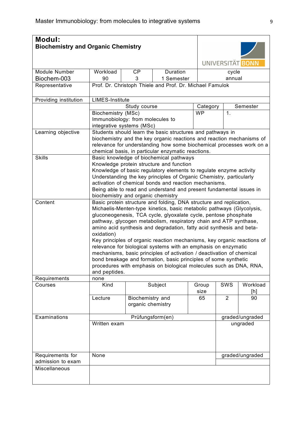| <b>Modul:</b>                         | <b>Biochemistry and Organic Chemistry</b>                                                                                                                                                                                                                                                                                                                                                                                                                                                                                                                                                                                                                                                                                                                                       |                                                                                                                                                                                                                                                                                                                                                                  |                                                          |               |                |                             |  |  |
|---------------------------------------|---------------------------------------------------------------------------------------------------------------------------------------------------------------------------------------------------------------------------------------------------------------------------------------------------------------------------------------------------------------------------------------------------------------------------------------------------------------------------------------------------------------------------------------------------------------------------------------------------------------------------------------------------------------------------------------------------------------------------------------------------------------------------------|------------------------------------------------------------------------------------------------------------------------------------------------------------------------------------------------------------------------------------------------------------------------------------------------------------------------------------------------------------------|----------------------------------------------------------|---------------|----------------|-----------------------------|--|--|
|                                       |                                                                                                                                                                                                                                                                                                                                                                                                                                                                                                                                                                                                                                                                                                                                                                                 |                                                                                                                                                                                                                                                                                                                                                                  |                                                          |               |                | UNIVERSITÄT BONN            |  |  |
| Module Number                         | Workload                                                                                                                                                                                                                                                                                                                                                                                                                                                                                                                                                                                                                                                                                                                                                                        | <b>CP</b>                                                                                                                                                                                                                                                                                                                                                        | Duration                                                 |               | cycle          |                             |  |  |
| Biochem-003                           | 90                                                                                                                                                                                                                                                                                                                                                                                                                                                                                                                                                                                                                                                                                                                                                                              | 3                                                                                                                                                                                                                                                                                                                                                                |                                                          | annual        |                |                             |  |  |
| Representative                        |                                                                                                                                                                                                                                                                                                                                                                                                                                                                                                                                                                                                                                                                                                                                                                                 |                                                                                                                                                                                                                                                                                                                                                                  | Prof. Dr. Christoph Thiele and Prof. Dr. Michael Famulok |               |                |                             |  |  |
| Providing institution                 | <b>LIMES-Institute</b>                                                                                                                                                                                                                                                                                                                                                                                                                                                                                                                                                                                                                                                                                                                                                          |                                                                                                                                                                                                                                                                                                                                                                  |                                                          |               |                |                             |  |  |
|                                       |                                                                                                                                                                                                                                                                                                                                                                                                                                                                                                                                                                                                                                                                                                                                                                                 | Study course                                                                                                                                                                                                                                                                                                                                                     | Category                                                 |               | Semester       |                             |  |  |
|                                       | Biochemistry (MSc)<br>Immunobiology: from molecules to<br>integrative systems (MSc)                                                                                                                                                                                                                                                                                                                                                                                                                                                                                                                                                                                                                                                                                             |                                                                                                                                                                                                                                                                                                                                                                  |                                                          | <b>WP</b>     | 1.             |                             |  |  |
| Learning objective                    |                                                                                                                                                                                                                                                                                                                                                                                                                                                                                                                                                                                                                                                                                                                                                                                 | Students should learn the basic structures and pathways in<br>biochemistry and the key organic reactions and reaction mechanisms of<br>relevance for understanding how some biochemical processes work on a<br>chemical basis, in particular enzymatic reactions.                                                                                                |                                                          |               |                |                             |  |  |
| <b>Skills</b>                         |                                                                                                                                                                                                                                                                                                                                                                                                                                                                                                                                                                                                                                                                                                                                                                                 | Basic knowledge of biochemical pathways<br>Knowledge protein structure and function<br>Knowledge of basic regulatory elements to regulate enzyme activity<br>Understanding the key principles of Organic Chemistry, particularly<br>activation of chemical bonds and reaction mechanisms.<br>Being able to read and understand and present fundamental issues in |                                                          |               |                |                             |  |  |
| Content                               | biochemistry and organic chemistry<br>Basic protein structure and folding, DNA structure and replication,<br>Michaelis-Menten-type kinetics, basic metabolic pathways (Glycolysis,<br>gluconeogenesis, TCA cycle, glyoxalate cycle, pentose phosphate<br>pathway, glycogen metabolism, respiratory chain and ATP synthase,<br>amino acid synthesis and degradation, fatty acid synthesis and beta-<br>oxidation)<br>Key principles of organic reaction mechanisms, key organic reactions of<br>relevance for biological systems with an emphasis on enzymatic<br>mechanisms, basic principles of activation / deactivation of chemical<br>bond breakage and formation, basic principles of some synthetic<br>procedures with emphasis on biological molecules such as DNA, RNA, |                                                                                                                                                                                                                                                                                                                                                                  |                                                          |               |                |                             |  |  |
| Requirements                          | and peptides.<br>none                                                                                                                                                                                                                                                                                                                                                                                                                                                                                                                                                                                                                                                                                                                                                           |                                                                                                                                                                                                                                                                                                                                                                  |                                                          |               |                |                             |  |  |
| Courses                               | Kind                                                                                                                                                                                                                                                                                                                                                                                                                                                                                                                                                                                                                                                                                                                                                                            |                                                                                                                                                                                                                                                                                                                                                                  | Subject                                                  | Group<br>size | <b>SWS</b>     | Workload<br>[h]             |  |  |
|                                       | Lecture                                                                                                                                                                                                                                                                                                                                                                                                                                                                                                                                                                                                                                                                                                                                                                         | Biochemistry and<br>organic chemistry                                                                                                                                                                                                                                                                                                                            |                                                          | 65            | $\overline{2}$ | 90                          |  |  |
| Examinations                          | Written exam                                                                                                                                                                                                                                                                                                                                                                                                                                                                                                                                                                                                                                                                                                                                                                    |                                                                                                                                                                                                                                                                                                                                                                  | Prüfungsform(en)                                         |               |                | graded/ungraded<br>ungraded |  |  |
| Requirements for<br>admission to exam | None                                                                                                                                                                                                                                                                                                                                                                                                                                                                                                                                                                                                                                                                                                                                                                            |                                                                                                                                                                                                                                                                                                                                                                  |                                                          |               |                | graded/ungraded             |  |  |
| Miscellaneous                         |                                                                                                                                                                                                                                                                                                                                                                                                                                                                                                                                                                                                                                                                                                                                                                                 |                                                                                                                                                                                                                                                                                                                                                                  |                                                          |               |                |                             |  |  |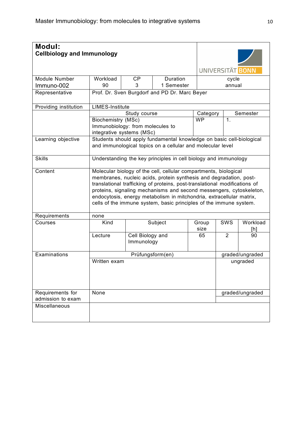| Modul:<br><b>Cellbiology and Immunology</b> |                                                                                                                                                                                                                                                                                                                                                                                                                                           |                                                                 |                                                                                                                                    | UNIVERSITÄT BONN |                |                 |  |  |
|---------------------------------------------|-------------------------------------------------------------------------------------------------------------------------------------------------------------------------------------------------------------------------------------------------------------------------------------------------------------------------------------------------------------------------------------------------------------------------------------------|-----------------------------------------------------------------|------------------------------------------------------------------------------------------------------------------------------------|------------------|----------------|-----------------|--|--|
|                                             |                                                                                                                                                                                                                                                                                                                                                                                                                                           |                                                                 | Duration                                                                                                                           |                  |                |                 |  |  |
| Module Number                               | Workload                                                                                                                                                                                                                                                                                                                                                                                                                                  | CP                                                              |                                                                                                                                    | cycle            |                |                 |  |  |
| Immuno-002                                  | 90                                                                                                                                                                                                                                                                                                                                                                                                                                        | 3                                                               | 1 Semester                                                                                                                         |                  | annual         |                 |  |  |
| Representative                              |                                                                                                                                                                                                                                                                                                                                                                                                                                           | Prof. Dr. Sven Burgdorf and PD Dr. Marc Beyer                   |                                                                                                                                    |                  |                |                 |  |  |
| Providing institution                       | <b>LIMES-Institute</b>                                                                                                                                                                                                                                                                                                                                                                                                                    |                                                                 |                                                                                                                                    |                  |                |                 |  |  |
|                                             |                                                                                                                                                                                                                                                                                                                                                                                                                                           | Study course                                                    |                                                                                                                                    | Category         |                | Semester        |  |  |
|                                             | <b>Biochemistry (MSc)</b>                                                                                                                                                                                                                                                                                                                                                                                                                 |                                                                 |                                                                                                                                    | <b>WP</b>        | 1.             |                 |  |  |
|                                             |                                                                                                                                                                                                                                                                                                                                                                                                                                           | Immunobiology: from molecules to                                |                                                                                                                                    |                  |                |                 |  |  |
|                                             |                                                                                                                                                                                                                                                                                                                                                                                                                                           | integrative systems (MSc)                                       |                                                                                                                                    |                  |                |                 |  |  |
| Learning objective                          |                                                                                                                                                                                                                                                                                                                                                                                                                                           |                                                                 | Students should apply fundamental knowledge on basic cell-biological<br>and immunological topics on a cellular and molecular level |                  |                |                 |  |  |
| <b>Skills</b>                               |                                                                                                                                                                                                                                                                                                                                                                                                                                           | Understanding the key principles in cell biology and immunology |                                                                                                                                    |                  |                |                 |  |  |
| Content                                     | Molecular biology of the cell, cellular compartments, biological<br>membranes, nucleic acids, protein synthesis and degradation, post-<br>translational trafficking of proteins, post-translational modifications of<br>proteins, signaling mechanisms and second messengers, cytoskeleton,<br>endocytosis, energy metabolism in mitchondria, extracellular matrix,<br>cells of the immune system, basic principles of the immune system. |                                                                 |                                                                                                                                    |                  |                |                 |  |  |
| Requirements                                | none                                                                                                                                                                                                                                                                                                                                                                                                                                      |                                                                 |                                                                                                                                    |                  |                |                 |  |  |
| Courses                                     | Kind                                                                                                                                                                                                                                                                                                                                                                                                                                      |                                                                 | Subject                                                                                                                            | Group            | SWS            | Workload        |  |  |
|                                             |                                                                                                                                                                                                                                                                                                                                                                                                                                           |                                                                 |                                                                                                                                    | size             |                | [h]             |  |  |
|                                             | Lecture                                                                                                                                                                                                                                                                                                                                                                                                                                   | Cell Biology and<br>Immunology                                  |                                                                                                                                    | 65               | $\overline{2}$ | 90              |  |  |
| Examinations                                |                                                                                                                                                                                                                                                                                                                                                                                                                                           |                                                                 | Prüfungsform(en)                                                                                                                   |                  |                | graded/ungraded |  |  |
|                                             | Written exam                                                                                                                                                                                                                                                                                                                                                                                                                              |                                                                 |                                                                                                                                    |                  |                | ungraded        |  |  |
| Requirements for                            | None                                                                                                                                                                                                                                                                                                                                                                                                                                      |                                                                 |                                                                                                                                    |                  |                | graded/ungraded |  |  |
| admission to exam                           |                                                                                                                                                                                                                                                                                                                                                                                                                                           |                                                                 |                                                                                                                                    |                  |                |                 |  |  |
| Miscellaneous                               |                                                                                                                                                                                                                                                                                                                                                                                                                                           |                                                                 |                                                                                                                                    |                  |                |                 |  |  |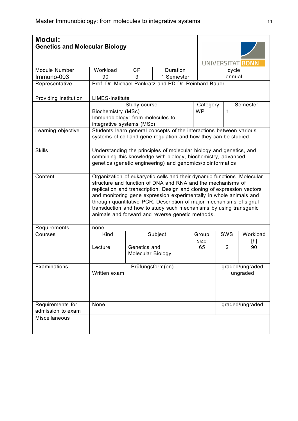| <b>Modul:</b>         | <b>Genetics and Molecular Biology</b> |                                                                                                                                                                                                                                                                                                                                                                                                                                                                                         |                                                                                                                                         |               |                 | UNIVERSITÄT BONN |  |  |  |
|-----------------------|---------------------------------------|-----------------------------------------------------------------------------------------------------------------------------------------------------------------------------------------------------------------------------------------------------------------------------------------------------------------------------------------------------------------------------------------------------------------------------------------------------------------------------------------|-----------------------------------------------------------------------------------------------------------------------------------------|---------------|-----------------|------------------|--|--|--|
| Module Number         | Workload                              | CP                                                                                                                                                                                                                                                                                                                                                                                                                                                                                      | Duration                                                                                                                                |               |                 |                  |  |  |  |
| Immuno-003            | 90                                    | 3                                                                                                                                                                                                                                                                                                                                                                                                                                                                                       | 1 Semester                                                                                                                              |               | cycle<br>annual |                  |  |  |  |
| Representative        |                                       |                                                                                                                                                                                                                                                                                                                                                                                                                                                                                         | Prof. Dr. Michael Pankratz and PD Dr. Reinhard Bauer                                                                                    |               |                 |                  |  |  |  |
|                       |                                       |                                                                                                                                                                                                                                                                                                                                                                                                                                                                                         |                                                                                                                                         |               |                 |                  |  |  |  |
| Providing institution | <b>LIMES-Institute</b>                |                                                                                                                                                                                                                                                                                                                                                                                                                                                                                         |                                                                                                                                         |               |                 |                  |  |  |  |
|                       |                                       | Study course                                                                                                                                                                                                                                                                                                                                                                                                                                                                            |                                                                                                                                         | Category      |                 | Semester         |  |  |  |
|                       | Biochemistry (MSc)                    | Immunobiology: from molecules to<br>integrative systems (MSc)                                                                                                                                                                                                                                                                                                                                                                                                                           | <b>WP</b>                                                                                                                               | 1.            |                 |                  |  |  |  |
| Learning objective    |                                       |                                                                                                                                                                                                                                                                                                                                                                                                                                                                                         | Students learn general concepts of the interactions between various<br>systems of cell and gene regulation and how they can be studied. |               |                 |                  |  |  |  |
| <b>Skills</b>         |                                       | Understanding the principles of molecular biology and genetics, and<br>combining this knowledge with biology, biochemistry, advanced<br>genetics (genetic engineering) and genomics/bioinformatics                                                                                                                                                                                                                                                                                      |                                                                                                                                         |               |                 |                  |  |  |  |
| Content               |                                       | Organization of eukaryotic cells and their dynamic functions. Molecular<br>structure and function of DNA and RNA and the mechanisms of<br>replication and transcription. Design and cloning of expression vectors<br>and monitoring gene expression experimentally in whole animals and<br>through quantitative PCR. Description of major mechanisms of signal<br>transduction and how to study such mechanisms by using transgenic<br>animals and forward and reverse genetic methods. |                                                                                                                                         |               |                 |                  |  |  |  |
| Requirements          | none                                  |                                                                                                                                                                                                                                                                                                                                                                                                                                                                                         |                                                                                                                                         |               |                 |                  |  |  |  |
| Courses               | Kind                                  |                                                                                                                                                                                                                                                                                                                                                                                                                                                                                         | Subject                                                                                                                                 | Group<br>size | <b>SWS</b>      | Workload<br>[h]  |  |  |  |
|                       | Lecture                               | Genetics and<br>Molecular Biology                                                                                                                                                                                                                                                                                                                                                                                                                                                       |                                                                                                                                         | 65            | $\overline{2}$  | 90               |  |  |  |
| Examinations          |                                       |                                                                                                                                                                                                                                                                                                                                                                                                                                                                                         | Prüfungsform(en)                                                                                                                        |               |                 | graded/ungraded  |  |  |  |
|                       | Written exam                          |                                                                                                                                                                                                                                                                                                                                                                                                                                                                                         |                                                                                                                                         |               |                 | ungraded         |  |  |  |
| Requirements for      | None                                  |                                                                                                                                                                                                                                                                                                                                                                                                                                                                                         |                                                                                                                                         |               |                 | graded/ungraded  |  |  |  |
| admission to exam     |                                       |                                                                                                                                                                                                                                                                                                                                                                                                                                                                                         |                                                                                                                                         |               |                 |                  |  |  |  |
| Miscellaneous         |                                       |                                                                                                                                                                                                                                                                                                                                                                                                                                                                                         |                                                                                                                                         |               |                 |                  |  |  |  |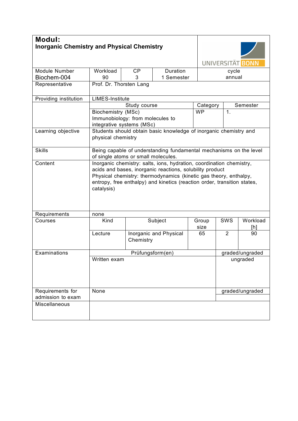| <b>Modul:</b>                             | <b>Inorganic Chemistry and Physical Chemistry</b>                                                                                                                                                                                                                                               |                                                                                                           |                                                                   |               |                | UNIVERSITÄT BONN |  |  |  |
|-------------------------------------------|-------------------------------------------------------------------------------------------------------------------------------------------------------------------------------------------------------------------------------------------------------------------------------------------------|-----------------------------------------------------------------------------------------------------------|-------------------------------------------------------------------|---------------|----------------|------------------|--|--|--|
| Module Number                             | Workload                                                                                                                                                                                                                                                                                        | CP                                                                                                        | Duration                                                          |               | cycle          |                  |  |  |  |
| Biochem-004                               | 90                                                                                                                                                                                                                                                                                              | 3                                                                                                         | 1 Semester                                                        |               | annual         |                  |  |  |  |
| Representative                            |                                                                                                                                                                                                                                                                                                 | Prof. Dr. Thorsten Lang                                                                                   |                                                                   |               |                |                  |  |  |  |
| Providing institution                     | <b>LIMES-Institute</b>                                                                                                                                                                                                                                                                          |                                                                                                           |                                                                   |               |                |                  |  |  |  |
|                                           |                                                                                                                                                                                                                                                                                                 | Study course                                                                                              |                                                                   | Category      |                | Semester         |  |  |  |
|                                           | Biochemistry (MSc)<br>Immunobiology: from molecules to<br>integrative systems (MSc)                                                                                                                                                                                                             |                                                                                                           |                                                                   | <b>WP</b>     | 1.             |                  |  |  |  |
| Learning objective                        | physical chemistry                                                                                                                                                                                                                                                                              |                                                                                                           | Students should obtain basic knowledge of inorganic chemistry and |               |                |                  |  |  |  |
| <b>Skills</b>                             |                                                                                                                                                                                                                                                                                                 | Being capable of understanding fundamental mechanisms on the level<br>of single atoms or small molecules. |                                                                   |               |                |                  |  |  |  |
| Content                                   | Inorganic chemistry: salts, ions, hydration, coordination chemistry,<br>acids and bases, inorganic reactions, solubility product<br>Physical chemistry: thermodynamics (kinetic gas theory, enthalpy,<br>entropy, free enthalpy) and kinetics (reaction order, transition states,<br>catalysis) |                                                                                                           |                                                                   |               |                |                  |  |  |  |
| Requirements                              | none                                                                                                                                                                                                                                                                                            |                                                                                                           |                                                                   |               |                |                  |  |  |  |
| Courses                                   | Kind                                                                                                                                                                                                                                                                                            |                                                                                                           | Subject                                                           | Group<br>size | <b>SWS</b>     | Workload<br>[h]  |  |  |  |
|                                           | Lecture                                                                                                                                                                                                                                                                                         | Chemistry                                                                                                 | Inorganic and Physical                                            | 65            | $\overline{2}$ | 90               |  |  |  |
| Examinations                              |                                                                                                                                                                                                                                                                                                 |                                                                                                           | Prüfungsform(en)                                                  |               |                | graded/ungraded  |  |  |  |
|                                           | Written exam                                                                                                                                                                                                                                                                                    |                                                                                                           |                                                                   |               |                | ungraded         |  |  |  |
| Requirements for                          | None                                                                                                                                                                                                                                                                                            |                                                                                                           |                                                                   |               |                | graded/ungraded  |  |  |  |
| admission to exam<br><b>Miscellaneous</b> |                                                                                                                                                                                                                                                                                                 |                                                                                                           |                                                                   |               |                |                  |  |  |  |
|                                           |                                                                                                                                                                                                                                                                                                 |                                                                                                           |                                                                   |               |                |                  |  |  |  |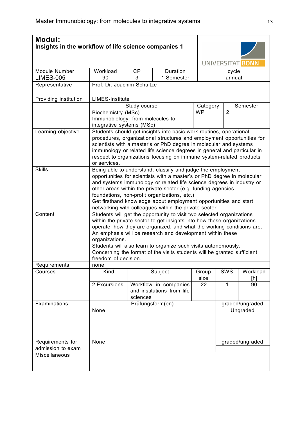| Modul:<br>Insights in the workflow of life science companies 1 |                                                                                                                                                                                                                                                                                                                                                                                                                                                              |                                                                                                                                                                                                                                                                                                                                                                                                                                                      |                                                     |                 |     | UNIVERSITÄT BONN |  |  |  |
|----------------------------------------------------------------|--------------------------------------------------------------------------------------------------------------------------------------------------------------------------------------------------------------------------------------------------------------------------------------------------------------------------------------------------------------------------------------------------------------------------------------------------------------|------------------------------------------------------------------------------------------------------------------------------------------------------------------------------------------------------------------------------------------------------------------------------------------------------------------------------------------------------------------------------------------------------------------------------------------------------|-----------------------------------------------------|-----------------|-----|------------------|--|--|--|
| <b>Module Number</b><br><b>LIMES-005</b>                       | Workload<br>90                                                                                                                                                                                                                                                                                                                                                                                                                                               | CP<br>3                                                                                                                                                                                                                                                                                                                                                                                                                                              | Duration<br>1 Semester                              | cycle<br>annual |     |                  |  |  |  |
| Representative                                                 |                                                                                                                                                                                                                                                                                                                                                                                                                                                              | Prof. Dr. Joachim Schultze                                                                                                                                                                                                                                                                                                                                                                                                                           |                                                     |                 |     |                  |  |  |  |
| Providing institution                                          |                                                                                                                                                                                                                                                                                                                                                                                                                                                              | <b>LIMES-Institute</b>                                                                                                                                                                                                                                                                                                                                                                                                                               |                                                     |                 |     |                  |  |  |  |
|                                                                |                                                                                                                                                                                                                                                                                                                                                                                                                                                              | Study course                                                                                                                                                                                                                                                                                                                                                                                                                                         |                                                     | Category        |     | Semester         |  |  |  |
|                                                                | Biochemistry (MSc)<br>Immunobiology: from molecules to<br>integrative systems (MSc)                                                                                                                                                                                                                                                                                                                                                                          |                                                                                                                                                                                                                                                                                                                                                                                                                                                      |                                                     | <b>WP</b>       | 2.  |                  |  |  |  |
| Learning objective                                             | or services.                                                                                                                                                                                                                                                                                                                                                                                                                                                 | Students should get insights into basic work routines, operational<br>procedures, organizational structures and employment opportunities for<br>scientists with a master's or PhD degree in molecular and systems<br>immunology or related life science degrees in general and particular in<br>respect to organizations focusing on immune system-related products                                                                                  |                                                     |                 |     |                  |  |  |  |
| <b>Skills</b>                                                  | Being able to understand, classify and judge the employment<br>opportunities for scientists with a master's or PhD degree in molecular<br>and systems immunology or related life science degrees in industry or<br>other areas within the private sector (e.g. funding agencies,<br>foundations, non-profit organizations, etc.)<br>Get firsthand knowledge about employment opportunities and start<br>networking with colleagues within the private sector |                                                                                                                                                                                                                                                                                                                                                                                                                                                      |                                                     |                 |     |                  |  |  |  |
| Content                                                        | freedom of decision.                                                                                                                                                                                                                                                                                                                                                                                                                                         | Students will get the opportunity to visit two selected organizations<br>within the private sector to get insights into how these organizations<br>operate, how they are organized, and what the working conditions are.<br>An emphasis will be research and development within these<br>organizations.<br>Students will also learn to organize such visits autonomously.<br>Concerning the format of the visits students will be granted sufficient |                                                     |                 |     |                  |  |  |  |
| Requirements                                                   | none                                                                                                                                                                                                                                                                                                                                                                                                                                                         |                                                                                                                                                                                                                                                                                                                                                                                                                                                      |                                                     |                 |     |                  |  |  |  |
| Courses                                                        | Kind                                                                                                                                                                                                                                                                                                                                                                                                                                                         |                                                                                                                                                                                                                                                                                                                                                                                                                                                      | Subject                                             | Group<br>size   | SWS | Workload         |  |  |  |
|                                                                | 2 Excursions                                                                                                                                                                                                                                                                                                                                                                                                                                                 | sciences                                                                                                                                                                                                                                                                                                                                                                                                                                             | Workflow in companies<br>and institutions from life | $\overline{22}$ | 1   | [h]<br>90        |  |  |  |
| Examinations                                                   |                                                                                                                                                                                                                                                                                                                                                                                                                                                              |                                                                                                                                                                                                                                                                                                                                                                                                                                                      | Prüfungsform(en)                                    |                 |     | graded/ungraded  |  |  |  |
|                                                                | None                                                                                                                                                                                                                                                                                                                                                                                                                                                         |                                                                                                                                                                                                                                                                                                                                                                                                                                                      |                                                     |                 |     | Ungraded         |  |  |  |
| Requirements for                                               | None                                                                                                                                                                                                                                                                                                                                                                                                                                                         |                                                                                                                                                                                                                                                                                                                                                                                                                                                      |                                                     |                 |     | graded/ungraded  |  |  |  |
| admission to exam                                              |                                                                                                                                                                                                                                                                                                                                                                                                                                                              |                                                                                                                                                                                                                                                                                                                                                                                                                                                      |                                                     |                 |     |                  |  |  |  |
| Miscellaneous                                                  |                                                                                                                                                                                                                                                                                                                                                                                                                                                              |                                                                                                                                                                                                                                                                                                                                                                                                                                                      |                                                     |                 |     |                  |  |  |  |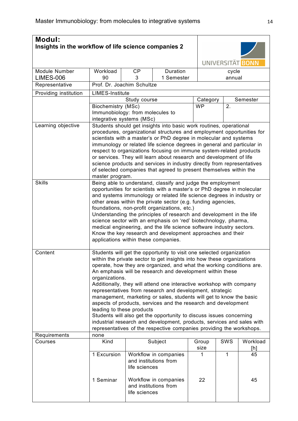| <b>Modul:</b><br>Insights in the workflow of life science companies 2 |                                                               |              |                                                                                                                                                |          |                  |          |  |  |
|-----------------------------------------------------------------------|---------------------------------------------------------------|--------------|------------------------------------------------------------------------------------------------------------------------------------------------|----------|------------------|----------|--|--|
|                                                                       |                                                               |              |                                                                                                                                                |          | UNIVERSITÄT BONN |          |  |  |
| <b>Module Number</b>                                                  | Workload                                                      | <b>CP</b>    | Duration                                                                                                                                       |          | cycle            |          |  |  |
| <b>LIMES-006</b>                                                      | 90                                                            | 3            | 1 Semester                                                                                                                                     |          | annual           |          |  |  |
| Representative                                                        | Prof. Dr. Joachim Schultze                                    |              |                                                                                                                                                |          |                  |          |  |  |
| Providing institution                                                 | <b>LIMES-Institute</b>                                        |              |                                                                                                                                                |          |                  |          |  |  |
|                                                                       |                                                               | Study course |                                                                                                                                                | Category |                  | Semester |  |  |
|                                                                       | <b>Biochemistry (MSc)</b>                                     |              | <b>WP</b>                                                                                                                                      | 2.       |                  |          |  |  |
|                                                                       | Immunobiology: from molecules to<br>integrative systems (MSc) |              |                                                                                                                                                |          |                  |          |  |  |
| Learning objective                                                    |                                                               |              | Students should get insights into basic work routines, operational                                                                             |          |                  |          |  |  |
|                                                                       |                                                               |              | procedures, organizational structures and employment opportunities for                                                                         |          |                  |          |  |  |
|                                                                       |                                                               |              | scientists with a master's or PhD degree in molecular and systems                                                                              |          |                  |          |  |  |
|                                                                       |                                                               |              | immunology or related life science degrees in general and particular in                                                                        |          |                  |          |  |  |
|                                                                       |                                                               |              | respect to organizations focusing on immune system-related products                                                                            |          |                  |          |  |  |
|                                                                       |                                                               |              | or services. They will learn about research and development of life                                                                            |          |                  |          |  |  |
|                                                                       |                                                               |              | science products and services in industry directly from representatives<br>of selected companies that agreed to present themselves within the  |          |                  |          |  |  |
|                                                                       | master program.                                               |              |                                                                                                                                                |          |                  |          |  |  |
| <b>Skills</b>                                                         |                                                               |              | Being able to understand, classify and judge the employment                                                                                    |          |                  |          |  |  |
|                                                                       |                                                               |              | opportunities for scientists with a master's or PhD degree in molecular                                                                        |          |                  |          |  |  |
|                                                                       |                                                               |              | and systems immunology or related life science degrees in industry or                                                                          |          |                  |          |  |  |
|                                                                       |                                                               |              | other areas within the private sector (e.g. funding agencies,                                                                                  |          |                  |          |  |  |
|                                                                       |                                                               |              | foundations, non-profit organizations, etc.)                                                                                                   |          |                  |          |  |  |
|                                                                       |                                                               |              | Understanding the principles of research and development in the life                                                                           |          |                  |          |  |  |
|                                                                       |                                                               |              | science sector with an emphasis on 'red' biotechnology, pharma,<br>medical engineering, and the life science software industry sectors.        |          |                  |          |  |  |
|                                                                       |                                                               |              | Know the key research and development approaches and their                                                                                     |          |                  |          |  |  |
|                                                                       | applications within these companies.                          |              |                                                                                                                                                |          |                  |          |  |  |
|                                                                       |                                                               |              |                                                                                                                                                |          |                  |          |  |  |
| Content                                                               |                                                               |              | Students will get the opportunity to visit one selected organization                                                                           |          |                  |          |  |  |
|                                                                       |                                                               |              | within the private sector to get insights into how these organizations                                                                         |          |                  |          |  |  |
|                                                                       |                                                               |              | operate, how they are organized, and what the working conditions are.                                                                          |          |                  |          |  |  |
|                                                                       | organizations.                                                |              | An emphasis will be research and development within these                                                                                      |          |                  |          |  |  |
|                                                                       |                                                               |              | Additionally, they will attend one interactive workshop with company                                                                           |          |                  |          |  |  |
|                                                                       |                                                               |              | representatives from research and development, strategic                                                                                       |          |                  |          |  |  |
|                                                                       |                                                               |              | management, marketing or sales, students will get to know the basic                                                                            |          |                  |          |  |  |
|                                                                       |                                                               |              | aspects of products, services and the research and development                                                                                 |          |                  |          |  |  |
|                                                                       | leading to these products                                     |              |                                                                                                                                                |          |                  |          |  |  |
|                                                                       |                                                               |              | Students will also get the opportunity to discuss issues concerning                                                                            |          |                  |          |  |  |
|                                                                       |                                                               |              | industrial research and development, products, services and sales with<br>representatives of the respective companies providing the workshops. |          |                  |          |  |  |
| Requirements                                                          | none                                                          |              |                                                                                                                                                |          |                  |          |  |  |
| Courses                                                               | Kind                                                          |              | Subject                                                                                                                                        | Group    | <b>SWS</b>       | Workload |  |  |
|                                                                       | size                                                          |              |                                                                                                                                                |          |                  | [h]      |  |  |
|                                                                       | 1 Excursion<br>Workflow in companies<br>1<br>1                |              |                                                                                                                                                |          |                  |          |  |  |
|                                                                       |                                                               |              | and institutions from                                                                                                                          |          |                  |          |  |  |
|                                                                       | life sciences                                                 |              |                                                                                                                                                |          |                  |          |  |  |
|                                                                       | Workflow in companies                                         |              |                                                                                                                                                |          |                  |          |  |  |
|                                                                       | 1 Seminar                                                     |              | and institutions from                                                                                                                          | 22       |                  | 45       |  |  |
|                                                                       |                                                               |              |                                                                                                                                                |          |                  |          |  |  |
|                                                                       | life sciences                                                 |              |                                                                                                                                                |          |                  |          |  |  |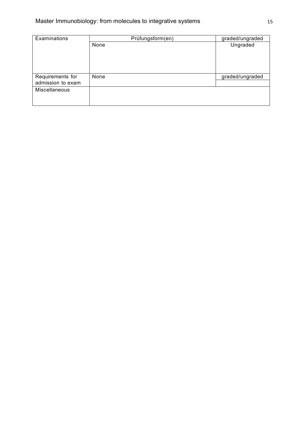| Examinations      | Prüfungsform(en) | graded/ungraded |  |  |
|-------------------|------------------|-----------------|--|--|
|                   | None             | Ungraded        |  |  |
|                   |                  |                 |  |  |
|                   |                  |                 |  |  |
|                   |                  |                 |  |  |
|                   |                  |                 |  |  |
| Requirements for  | None             | graded/ungraded |  |  |
| admission to exam |                  |                 |  |  |
| Miscellaneous     |                  |                 |  |  |
|                   |                  |                 |  |  |
|                   |                  |                 |  |  |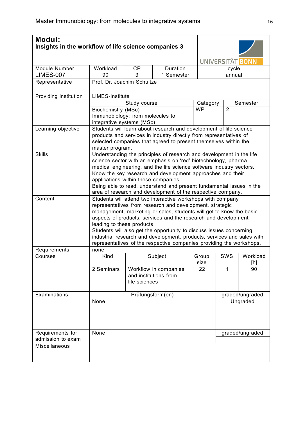| Modul:<br>Insights in the workflow of life science companies 3 |                                                                                                                                                                                                                                                                                                                                                                                                                                                                                                                        |                                                                                                                                                                                                                                |                                                |                       | UNIVERSITÄT BONN |                 |  |  |
|----------------------------------------------------------------|------------------------------------------------------------------------------------------------------------------------------------------------------------------------------------------------------------------------------------------------------------------------------------------------------------------------------------------------------------------------------------------------------------------------------------------------------------------------------------------------------------------------|--------------------------------------------------------------------------------------------------------------------------------------------------------------------------------------------------------------------------------|------------------------------------------------|-----------------------|------------------|-----------------|--|--|
| Module Number                                                  | Workload                                                                                                                                                                                                                                                                                                                                                                                                                                                                                                               | <b>CP</b>                                                                                                                                                                                                                      | Duration                                       |                       | cycle            |                 |  |  |
| <b>LIMES-007</b><br>Representative                             | 90<br>Prof. Dr. Joachim Schultze                                                                                                                                                                                                                                                                                                                                                                                                                                                                                       | 3                                                                                                                                                                                                                              | 1 Semester                                     |                       | annual           |                 |  |  |
|                                                                |                                                                                                                                                                                                                                                                                                                                                                                                                                                                                                                        |                                                                                                                                                                                                                                |                                                |                       |                  |                 |  |  |
| Providing institution                                          | <b>LIMES-Institute</b>                                                                                                                                                                                                                                                                                                                                                                                                                                                                                                 |                                                                                                                                                                                                                                |                                                |                       |                  |                 |  |  |
|                                                                |                                                                                                                                                                                                                                                                                                                                                                                                                                                                                                                        | Study course                                                                                                                                                                                                                   |                                                | Category<br><b>WP</b> | 2.               | Semester        |  |  |
|                                                                | <b>Biochemistry (MSc)</b><br>Immunobiology: from molecules to<br>integrative systems (MSc)                                                                                                                                                                                                                                                                                                                                                                                                                             |                                                                                                                                                                                                                                |                                                |                       |                  |                 |  |  |
| Learning objective                                             |                                                                                                                                                                                                                                                                                                                                                                                                                                                                                                                        | Students will learn about research and development of life science<br>products and services in industry directly from representatives of<br>selected companies that agreed to present themselves within the<br>master program. |                                                |                       |                  |                 |  |  |
| <b>Skills</b>                                                  | Understanding the principles of research and development in the life<br>science sector with an emphasis on 'red' biotechnology, pharma,<br>medical engineering, and the life science software industry sectors.<br>Know the key research and development approaches and their<br>applications within these companies.<br>Being able to read, understand and present fundamental issues in the<br>area of research and development of the respective company.                                                           |                                                                                                                                                                                                                                |                                                |                       |                  |                 |  |  |
| Content                                                        | Students will attend two interactive workshops with company<br>representatives from research and development, strategic<br>management, marketing or sales, students will get to know the basic<br>aspects of products, services and the research and development<br>leading to these products<br>Students will also get the opportunity to discuss issues concerning<br>industrial research and development, products, services and sales with<br>representatives of the respective companies providing the workshops. |                                                                                                                                                                                                                                |                                                |                       |                  |                 |  |  |
| Requirements                                                   | none                                                                                                                                                                                                                                                                                                                                                                                                                                                                                                                   |                                                                                                                                                                                                                                |                                                |                       |                  |                 |  |  |
| Courses                                                        | Kind                                                                                                                                                                                                                                                                                                                                                                                                                                                                                                                   |                                                                                                                                                                                                                                | Subject                                        | Group<br>size         | SWS              | Workload<br>[h] |  |  |
|                                                                | 2 Seminars                                                                                                                                                                                                                                                                                                                                                                                                                                                                                                             | life sciences                                                                                                                                                                                                                  | Workflow in companies<br>and institutions from | 22                    | 1                | 90              |  |  |
| Examinations                                                   |                                                                                                                                                                                                                                                                                                                                                                                                                                                                                                                        |                                                                                                                                                                                                                                | Prüfungsform(en)                               |                       |                  | graded/ungraded |  |  |
|                                                                | None                                                                                                                                                                                                                                                                                                                                                                                                                                                                                                                   |                                                                                                                                                                                                                                |                                                |                       |                  | Ungraded        |  |  |
| Requirements for                                               | None                                                                                                                                                                                                                                                                                                                                                                                                                                                                                                                   |                                                                                                                                                                                                                                |                                                |                       |                  | graded/ungraded |  |  |
| admission to exam                                              |                                                                                                                                                                                                                                                                                                                                                                                                                                                                                                                        |                                                                                                                                                                                                                                |                                                |                       |                  |                 |  |  |
| Miscellaneous                                                  |                                                                                                                                                                                                                                                                                                                                                                                                                                                                                                                        |                                                                                                                                                                                                                                |                                                |                       |                  |                 |  |  |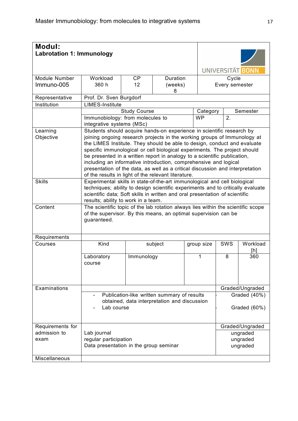| <b>Modul:</b><br><b>Labrotation 1: Immunology</b> |                                                                                                                                                                                                                                                                                                                                                                                                                                                                                                                                                                                                    |                     |              |  |            |                | UNIVERSITÄT BONN                 |
|---------------------------------------------------|----------------------------------------------------------------------------------------------------------------------------------------------------------------------------------------------------------------------------------------------------------------------------------------------------------------------------------------------------------------------------------------------------------------------------------------------------------------------------------------------------------------------------------------------------------------------------------------------------|---------------------|--------------|--|------------|----------------|----------------------------------|
| Module Number                                     | Workload                                                                                                                                                                                                                                                                                                                                                                                                                                                                                                                                                                                           | <b>CP</b>           | Duration     |  |            | Cycle          |                                  |
| Immuno-005                                        | 360 h                                                                                                                                                                                                                                                                                                                                                                                                                                                                                                                                                                                              | 12 <sup>2</sup>     | (weeks)<br>8 |  |            | Every semester |                                  |
| Representative                                    | Prof. Dr. Sven Burgdorf                                                                                                                                                                                                                                                                                                                                                                                                                                                                                                                                                                            |                     |              |  |            |                |                                  |
| Institution                                       | <b>LIMES-Institute</b>                                                                                                                                                                                                                                                                                                                                                                                                                                                                                                                                                                             |                     |              |  |            |                |                                  |
|                                                   |                                                                                                                                                                                                                                                                                                                                                                                                                                                                                                                                                                                                    | <b>Study Course</b> |              |  | Category   |                | Semester                         |
|                                                   | Immunobiology: from molecules to<br>integrative systems (MSc)                                                                                                                                                                                                                                                                                                                                                                                                                                                                                                                                      |                     |              |  | <b>WP</b>  | 2.             |                                  |
| Learning<br>Objective                             | Students should acquire hands-on experience in scientific research by<br>joining ongoing research projects in the working groups of Immunology at<br>the LIMES Institute. They should be able to design, conduct and evaluate<br>specific immunological or cell biological experiments. The project should<br>be presented in a written report in analogy to a scientific publication,<br>including an informative introduction, comprehensive and logical<br>presentation of the data, as well as a critical discussion and interpretation<br>of the results in light of the relevant literature. |                     |              |  |            |                |                                  |
| <b>Skills</b>                                     | Experimental skills in state-of-the-art immunological and cell biological<br>techniques; ability to design scientific experiments and to critically evaluate<br>scientific data; Soft skills in written and oral presentation of scientific<br>results; ability to work in a team.                                                                                                                                                                                                                                                                                                                 |                     |              |  |            |                |                                  |
| Content                                           | The scientific topic of the lab rotation always lies within the scientific scope<br>of the supervisor. By this means, an optimal supervision can be<br>guaranteed.                                                                                                                                                                                                                                                                                                                                                                                                                                 |                     |              |  |            |                |                                  |
| Requirements                                      |                                                                                                                                                                                                                                                                                                                                                                                                                                                                                                                                                                                                    |                     |              |  |            |                |                                  |
| Courses                                           | Kind                                                                                                                                                                                                                                                                                                                                                                                                                                                                                                                                                                                               |                     | subject      |  | group size | SWS            | Workload<br>[h]                  |
|                                                   | Laboratory<br>course                                                                                                                                                                                                                                                                                                                                                                                                                                                                                                                                                                               | Immunology          |              |  | 1          | 8              | 360                              |
| Examinations                                      |                                                                                                                                                                                                                                                                                                                                                                                                                                                                                                                                                                                                    |                     |              |  |            |                | Graded/Ungraded                  |
|                                                   | Publication-like written summary of results<br>Graded (40%)<br>obtained, data interpretation and discussion<br>Lab course<br>Graded (60%)                                                                                                                                                                                                                                                                                                                                                                                                                                                          |                     |              |  |            |                |                                  |
| Requirements for                                  |                                                                                                                                                                                                                                                                                                                                                                                                                                                                                                                                                                                                    |                     |              |  |            |                | Graded/Ungraded                  |
| admission to<br>exam                              | Lab journal<br>regular participation<br>Data presentation in the group seminar                                                                                                                                                                                                                                                                                                                                                                                                                                                                                                                     |                     |              |  |            |                | ungraded<br>ungraded<br>ungraded |
| Miscellaneous                                     |                                                                                                                                                                                                                                                                                                                                                                                                                                                                                                                                                                                                    |                     |              |  |            |                |                                  |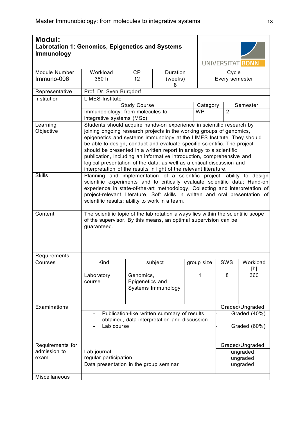| <b>Modul:</b><br><b>Labrotation 1: Genomics, Epigenetics and Systems</b><br><b>Immunology</b> |                                                                                                                                                                                                                                                                                                                                                                        | UNIVERSITÄT BONN                                                                                                                                                                                                                                                                                                                                                                                                                                                                                                                                                                                   |                          |  |            |                         |                                  |  |
|-----------------------------------------------------------------------------------------------|------------------------------------------------------------------------------------------------------------------------------------------------------------------------------------------------------------------------------------------------------------------------------------------------------------------------------------------------------------------------|----------------------------------------------------------------------------------------------------------------------------------------------------------------------------------------------------------------------------------------------------------------------------------------------------------------------------------------------------------------------------------------------------------------------------------------------------------------------------------------------------------------------------------------------------------------------------------------------------|--------------------------|--|------------|-------------------------|----------------------------------|--|
|                                                                                               |                                                                                                                                                                                                                                                                                                                                                                        |                                                                                                                                                                                                                                                                                                                                                                                                                                                                                                                                                                                                    |                          |  |            |                         |                                  |  |
| Module Number<br>Immuno-006                                                                   | Workload<br>360 h                                                                                                                                                                                                                                                                                                                                                      | <b>CP</b><br>12 <sup>2</sup>                                                                                                                                                                                                                                                                                                                                                                                                                                                                                                                                                                       | Duration<br>(weeks)<br>8 |  |            | Cycle<br>Every semester |                                  |  |
| Representative                                                                                | Prof. Dr. Sven Burgdorf                                                                                                                                                                                                                                                                                                                                                |                                                                                                                                                                                                                                                                                                                                                                                                                                                                                                                                                                                                    |                          |  |            |                         |                                  |  |
| Institution                                                                                   | <b>LIMES-Institute</b>                                                                                                                                                                                                                                                                                                                                                 |                                                                                                                                                                                                                                                                                                                                                                                                                                                                                                                                                                                                    |                          |  |            |                         |                                  |  |
|                                                                                               |                                                                                                                                                                                                                                                                                                                                                                        | <b>Study Course</b>                                                                                                                                                                                                                                                                                                                                                                                                                                                                                                                                                                                |                          |  | Category   |                         | Semester                         |  |
|                                                                                               | Immunobiology: from molecules to<br>integrative systems (MSc)                                                                                                                                                                                                                                                                                                          |                                                                                                                                                                                                                                                                                                                                                                                                                                                                                                                                                                                                    |                          |  | <b>WP</b>  | 2.                      |                                  |  |
| Learning<br>Objective                                                                         |                                                                                                                                                                                                                                                                                                                                                                        | Students should acquire hands-on experience in scientific research by<br>joining ongoing research projects in the working groups of genomics,<br>epigenetics and systems immunology at the LIMES Institute. They should<br>be able to design, conduct and evaluate specific scientific. The project<br>should be presented in a written report in analogy to a scientific<br>publication, including an informative introduction, comprehensive and<br>logical presentation of the data, as well as a critical discussion and<br>interpretation of the results in light of the relevant literature. |                          |  |            |                         |                                  |  |
| <b>Skills</b>                                                                                 | Planning and implementation of a scientific project, ability to design<br>scientific experiments and to critically evaluate scientific data; Hand-on<br>experience in state-of-the-art methodology, Collecting and interpretation of<br>project-relevant literature, Soft skills in written and oral presentation of<br>scientific results; ability to work in a team. |                                                                                                                                                                                                                                                                                                                                                                                                                                                                                                                                                                                                    |                          |  |            |                         |                                  |  |
| Content                                                                                       | The scientific topic of the lab rotation always lies within the scientific scope<br>of the supervisor. By this means, an optimal supervision can be<br>guaranteed.                                                                                                                                                                                                     |                                                                                                                                                                                                                                                                                                                                                                                                                                                                                                                                                                                                    |                          |  |            |                         |                                  |  |
| Requirements                                                                                  |                                                                                                                                                                                                                                                                                                                                                                        |                                                                                                                                                                                                                                                                                                                                                                                                                                                                                                                                                                                                    |                          |  |            |                         |                                  |  |
| Courses                                                                                       | Kind                                                                                                                                                                                                                                                                                                                                                                   |                                                                                                                                                                                                                                                                                                                                                                                                                                                                                                                                                                                                    | subject                  |  | group size | SWS                     | Workload<br>[h]                  |  |
|                                                                                               | Laboratory<br>course                                                                                                                                                                                                                                                                                                                                                   | Genomics,<br>Epigenetics and                                                                                                                                                                                                                                                                                                                                                                                                                                                                                                                                                                       | Systems Immunology       |  | 1          | 8                       | 360                              |  |
| Examinations                                                                                  |                                                                                                                                                                                                                                                                                                                                                                        |                                                                                                                                                                                                                                                                                                                                                                                                                                                                                                                                                                                                    |                          |  |            |                         | Graded/Ungraded                  |  |
|                                                                                               | Graded (40%)<br>Publication-like written summary of results<br>obtained, data interpretation and discussion<br>Lab course<br>Graded (60%)                                                                                                                                                                                                                              |                                                                                                                                                                                                                                                                                                                                                                                                                                                                                                                                                                                                    |                          |  |            |                         |                                  |  |
| Requirements for                                                                              |                                                                                                                                                                                                                                                                                                                                                                        |                                                                                                                                                                                                                                                                                                                                                                                                                                                                                                                                                                                                    |                          |  |            |                         | Graded/Ungraded                  |  |
| admission to<br>exam                                                                          | Lab journal<br>regular participation<br>Data presentation in the group seminar                                                                                                                                                                                                                                                                                         |                                                                                                                                                                                                                                                                                                                                                                                                                                                                                                                                                                                                    |                          |  |            |                         | ungraded<br>ungraded<br>ungraded |  |
| Miscellaneous                                                                                 |                                                                                                                                                                                                                                                                                                                                                                        |                                                                                                                                                                                                                                                                                                                                                                                                                                                                                                                                                                                                    |                          |  |            |                         |                                  |  |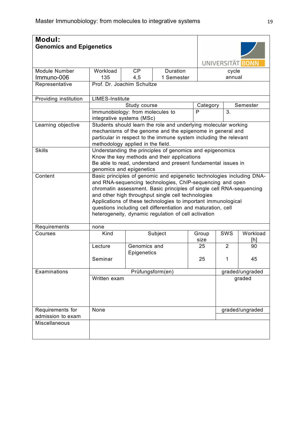| <b>Modul:</b><br><b>Genomics and Epigenetics</b> |                                                                                                                                                                                                                                                                                                                                                                                                                                                             |                                                                                                                                                                                                      |                                                                                                                                                                                                   |              | UNIVERSITÄT BONN |                 |  |  |
|--------------------------------------------------|-------------------------------------------------------------------------------------------------------------------------------------------------------------------------------------------------------------------------------------------------------------------------------------------------------------------------------------------------------------------------------------------------------------------------------------------------------------|------------------------------------------------------------------------------------------------------------------------------------------------------------------------------------------------------|---------------------------------------------------------------------------------------------------------------------------------------------------------------------------------------------------|--------------|------------------|-----------------|--|--|
|                                                  |                                                                                                                                                                                                                                                                                                                                                                                                                                                             |                                                                                                                                                                                                      |                                                                                                                                                                                                   |              |                  |                 |  |  |
| <b>Module Number</b>                             | Workload                                                                                                                                                                                                                                                                                                                                                                                                                                                    | <b>CP</b>                                                                                                                                                                                            | <b>Duration</b>                                                                                                                                                                                   |              | cycle            |                 |  |  |
| Immuno-006                                       | 135                                                                                                                                                                                                                                                                                                                                                                                                                                                         | 4,5                                                                                                                                                                                                  | 1 Semester                                                                                                                                                                                        |              | annual           |                 |  |  |
| Representative                                   | Prof. Dr. Joachim Schultze                                                                                                                                                                                                                                                                                                                                                                                                                                  |                                                                                                                                                                                                      |                                                                                                                                                                                                   |              |                  |                 |  |  |
| Providing institution                            | <b>LIMES-Institute</b>                                                                                                                                                                                                                                                                                                                                                                                                                                      |                                                                                                                                                                                                      |                                                                                                                                                                                                   |              |                  |                 |  |  |
|                                                  |                                                                                                                                                                                                                                                                                                                                                                                                                                                             | Study course                                                                                                                                                                                         |                                                                                                                                                                                                   | Category     |                  | Semester        |  |  |
|                                                  |                                                                                                                                                                                                                                                                                                                                                                                                                                                             | Immunobiology: from molecules to<br>integrative systems (MSc)                                                                                                                                        |                                                                                                                                                                                                   | $\mathsf{P}$ | 3.               |                 |  |  |
| Learning objective                               |                                                                                                                                                                                                                                                                                                                                                                                                                                                             | methodology applied in the field.                                                                                                                                                                    | Students should learn the role and underlying molecular working<br>mechanisms of the genome and the epigenome in general and<br>particular in respect to the immune system including the relevant |              |                  |                 |  |  |
| <b>Skills</b>                                    |                                                                                                                                                                                                                                                                                                                                                                                                                                                             | Understanding the principles of genomics and epigenomics<br>Know the key methods and their applications<br>Be able to read, understand and present fundamental issues in<br>genomics and epigenetics |                                                                                                                                                                                                   |              |                  |                 |  |  |
| Content                                          | Basic principles of genomic and epigenetic technologies including DNA-<br>and RNA-sequencing technologies, ChIP-sequencing and open<br>chromatin assessment. Basic principles of single cell RNA-sequencing<br>and other high throughput single cell technologies<br>Applications of these technologies to important immunological<br>questions including cell differentiation and maturation, cell<br>heterogeneity, dynamic regulation of cell activation |                                                                                                                                                                                                      |                                                                                                                                                                                                   |              |                  |                 |  |  |
| Requirements                                     | none                                                                                                                                                                                                                                                                                                                                                                                                                                                        |                                                                                                                                                                                                      |                                                                                                                                                                                                   |              |                  |                 |  |  |
| Courses                                          | Kind                                                                                                                                                                                                                                                                                                                                                                                                                                                        |                                                                                                                                                                                                      | Subject                                                                                                                                                                                           | Group        | <b>SWS</b>       | Workload        |  |  |
|                                                  |                                                                                                                                                                                                                                                                                                                                                                                                                                                             |                                                                                                                                                                                                      |                                                                                                                                                                                                   | size         |                  | [h]             |  |  |
|                                                  | Lecture                                                                                                                                                                                                                                                                                                                                                                                                                                                     | Genomics and                                                                                                                                                                                         |                                                                                                                                                                                                   | 25           | $\overline{2}$   | 90              |  |  |
|                                                  | Seminar                                                                                                                                                                                                                                                                                                                                                                                                                                                     | Epigenetics                                                                                                                                                                                          |                                                                                                                                                                                                   | 25           | 1                | 45              |  |  |
| Examinations                                     |                                                                                                                                                                                                                                                                                                                                                                                                                                                             |                                                                                                                                                                                                      | Prüfungsform(en)                                                                                                                                                                                  |              |                  | graded/ungraded |  |  |
|                                                  | Written exam                                                                                                                                                                                                                                                                                                                                                                                                                                                |                                                                                                                                                                                                      |                                                                                                                                                                                                   |              |                  | graded          |  |  |
| Requirements for                                 | None                                                                                                                                                                                                                                                                                                                                                                                                                                                        |                                                                                                                                                                                                      |                                                                                                                                                                                                   |              |                  | graded/ungraded |  |  |
| admission to exam                                |                                                                                                                                                                                                                                                                                                                                                                                                                                                             |                                                                                                                                                                                                      |                                                                                                                                                                                                   |              |                  |                 |  |  |
| Miscellaneous                                    |                                                                                                                                                                                                                                                                                                                                                                                                                                                             |                                                                                                                                                                                                      |                                                                                                                                                                                                   |              |                  |                 |  |  |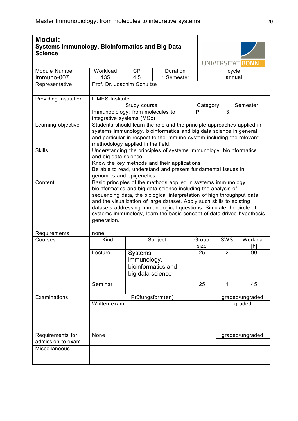| <b>Modul:</b><br><b>Systems immunology, Bioinformatics and Big Data</b><br><b>Science</b> |                                                                                                                                                                                                                                                                                                                                                                                                                                                   |                                                                                                                                                                                                                                        |                                                                                                                                                                                                                       | UNIVERSITÄT BONN |                |                 |  |  |
|-------------------------------------------------------------------------------------------|---------------------------------------------------------------------------------------------------------------------------------------------------------------------------------------------------------------------------------------------------------------------------------------------------------------------------------------------------------------------------------------------------------------------------------------------------|----------------------------------------------------------------------------------------------------------------------------------------------------------------------------------------------------------------------------------------|-----------------------------------------------------------------------------------------------------------------------------------------------------------------------------------------------------------------------|------------------|----------------|-----------------|--|--|
| Module Number                                                                             | Workload                                                                                                                                                                                                                                                                                                                                                                                                                                          | <b>CP</b>                                                                                                                                                                                                                              | Duration                                                                                                                                                                                                              |                  | cycle          |                 |  |  |
| Immuno-007                                                                                | 135                                                                                                                                                                                                                                                                                                                                                                                                                                               | 4,5                                                                                                                                                                                                                                    | 1 Semester                                                                                                                                                                                                            |                  | annual         |                 |  |  |
| Representative                                                                            | Prof. Dr. Joachim Schultze                                                                                                                                                                                                                                                                                                                                                                                                                        |                                                                                                                                                                                                                                        |                                                                                                                                                                                                                       |                  |                |                 |  |  |
| Providing institution                                                                     | <b>LIMES-Institute</b>                                                                                                                                                                                                                                                                                                                                                                                                                            |                                                                                                                                                                                                                                        |                                                                                                                                                                                                                       |                  |                |                 |  |  |
|                                                                                           |                                                                                                                                                                                                                                                                                                                                                                                                                                                   | Study course                                                                                                                                                                                                                           |                                                                                                                                                                                                                       | Category         |                | Semester        |  |  |
|                                                                                           | Immunobiology: from molecules to<br>integrative systems (MSc)                                                                                                                                                                                                                                                                                                                                                                                     |                                                                                                                                                                                                                                        |                                                                                                                                                                                                                       | P                | 3.             |                 |  |  |
| Learning objective                                                                        | methodology applied in the field.                                                                                                                                                                                                                                                                                                                                                                                                                 |                                                                                                                                                                                                                                        | Students should learn the role and the principle approaches applied in<br>systems immunology, bioinformatics and big data science in general<br>and particular in respect to the immune system including the relevant |                  |                |                 |  |  |
| <b>Skills</b>                                                                             |                                                                                                                                                                                                                                                                                                                                                                                                                                                   | Understanding the principles of systems immunology, bioinformatics<br>and big data science<br>Know the key methods and their applications<br>Be able to read, understand and present fundamental issues in<br>genomics and epigenetics |                                                                                                                                                                                                                       |                  |                |                 |  |  |
| Content                                                                                   | Basic principles of the methods applied in systems immunology,<br>bioinformatics and big data science including the analysis of<br>sequencing data, the biological interpretation of high throughput data<br>and the visualization of large dataset. Apply such skills to existing<br>datasets addressing immunological questions. Simulate the circle of<br>systems immunology, learn the basic concept of data-drived hypothesis<br>generation. |                                                                                                                                                                                                                                        |                                                                                                                                                                                                                       |                  |                |                 |  |  |
| Requirements                                                                              | none                                                                                                                                                                                                                                                                                                                                                                                                                                              |                                                                                                                                                                                                                                        |                                                                                                                                                                                                                       |                  |                |                 |  |  |
| Courses                                                                                   | Kind                                                                                                                                                                                                                                                                                                                                                                                                                                              |                                                                                                                                                                                                                                        | Subject                                                                                                                                                                                                               | Group            | SWS            | Workload        |  |  |
|                                                                                           |                                                                                                                                                                                                                                                                                                                                                                                                                                                   |                                                                                                                                                                                                                                        |                                                                                                                                                                                                                       | size             |                | [h]             |  |  |
|                                                                                           | Lecture                                                                                                                                                                                                                                                                                                                                                                                                                                           | <b>Systems</b><br>immunology,<br>big data science                                                                                                                                                                                      | bioinformatics and                                                                                                                                                                                                    | 25               | $\overline{2}$ | 90              |  |  |
|                                                                                           | Seminar                                                                                                                                                                                                                                                                                                                                                                                                                                           |                                                                                                                                                                                                                                        |                                                                                                                                                                                                                       | 25               | 1              | 45              |  |  |
| Examinations                                                                              |                                                                                                                                                                                                                                                                                                                                                                                                                                                   | Prüfungsform(en)                                                                                                                                                                                                                       |                                                                                                                                                                                                                       |                  |                | graded/ungraded |  |  |
|                                                                                           | Written exam                                                                                                                                                                                                                                                                                                                                                                                                                                      |                                                                                                                                                                                                                                        |                                                                                                                                                                                                                       |                  | graded         |                 |  |  |
| Requirements for                                                                          | None                                                                                                                                                                                                                                                                                                                                                                                                                                              |                                                                                                                                                                                                                                        |                                                                                                                                                                                                                       |                  |                | graded/ungraded |  |  |
| admission to exam                                                                         |                                                                                                                                                                                                                                                                                                                                                                                                                                                   |                                                                                                                                                                                                                                        |                                                                                                                                                                                                                       |                  |                |                 |  |  |
| Miscellaneous                                                                             |                                                                                                                                                                                                                                                                                                                                                                                                                                                   |                                                                                                                                                                                                                                        |                                                                                                                                                                                                                       |                  |                |                 |  |  |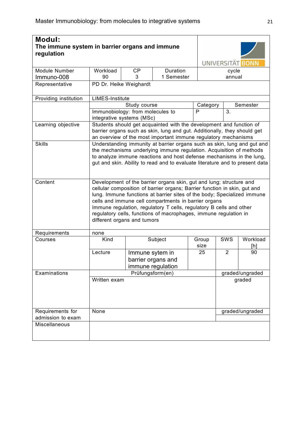| <b>Modul:</b><br>The immune system in barrier organs and immune<br>regulation |                                                                                                                                                                                                                                                                                                                                                                                                                                                               |                                                               |                                                                                                                                                                                                                   |               | UNIVERSITÄT BONN |                 |  |  |
|-------------------------------------------------------------------------------|---------------------------------------------------------------------------------------------------------------------------------------------------------------------------------------------------------------------------------------------------------------------------------------------------------------------------------------------------------------------------------------------------------------------------------------------------------------|---------------------------------------------------------------|-------------------------------------------------------------------------------------------------------------------------------------------------------------------------------------------------------------------|---------------|------------------|-----------------|--|--|
| Module Number                                                                 | Workload                                                                                                                                                                                                                                                                                                                                                                                                                                                      | <b>CP</b>                                                     | Duration                                                                                                                                                                                                          |               | cycle            |                 |  |  |
| Immuno-008                                                                    | 90                                                                                                                                                                                                                                                                                                                                                                                                                                                            | 3                                                             | 1 Semester                                                                                                                                                                                                        |               | annual           |                 |  |  |
| Representative                                                                | PD Dr. Heike Weighardt                                                                                                                                                                                                                                                                                                                                                                                                                                        |                                                               |                                                                                                                                                                                                                   |               |                  |                 |  |  |
| Providing institution                                                         | <b>LIMES-Institute</b>                                                                                                                                                                                                                                                                                                                                                                                                                                        |                                                               |                                                                                                                                                                                                                   |               |                  |                 |  |  |
|                                                                               |                                                                                                                                                                                                                                                                                                                                                                                                                                                               | Study course                                                  |                                                                                                                                                                                                                   | Category      |                  | Semester        |  |  |
|                                                                               |                                                                                                                                                                                                                                                                                                                                                                                                                                                               | Immunobiology: from molecules to<br>integrative systems (MSc) |                                                                                                                                                                                                                   | P             | 3.               |                 |  |  |
| Learning objective                                                            |                                                                                                                                                                                                                                                                                                                                                                                                                                                               |                                                               | Students should get acquainted with the development and function of<br>barrier organs such as skin, lung and gut. Additionally, they should get<br>an overview of the most important immune regulatory mechanisms |               |                  |                 |  |  |
| <b>Skills</b>                                                                 | Understanding immunity at barrier organs such as skin, lung and gut and<br>the mechanisms underlying immune regulation. Acquisition of methods<br>to analyze immune reactions and host defense mechanisms in the lung,<br>gut and skin. Ability to read and to evaluate literature and to present data                                                                                                                                                        |                                                               |                                                                                                                                                                                                                   |               |                  |                 |  |  |
| Content                                                                       | Development of the barrier organs skin, gut and lung; structure and<br>cellular composition of barrier organs; Barrier function in skin, gut and<br>lung. Immune functions at barrier sites of the body; Specialized immune<br>cells and immune cell compartments in barrier organs<br>Immune regulation, regulatory T cells, regulatory B cells and other<br>regulatory cells, functions of macrophages, immune regulation in<br>different organs and tumors |                                                               |                                                                                                                                                                                                                   |               |                  |                 |  |  |
| Requirements                                                                  | none                                                                                                                                                                                                                                                                                                                                                                                                                                                          |                                                               |                                                                                                                                                                                                                   |               |                  |                 |  |  |
| Courses                                                                       | Kind                                                                                                                                                                                                                                                                                                                                                                                                                                                          |                                                               | Subject                                                                                                                                                                                                           | Group<br>size | SWS              | Workload<br>[h] |  |  |
|                                                                               | Lecture                                                                                                                                                                                                                                                                                                                                                                                                                                                       | Immune sytem in                                               | barrier organs and<br>immune regulation                                                                                                                                                                           | 25            | $\overline{2}$   | 90              |  |  |
| Examinations                                                                  |                                                                                                                                                                                                                                                                                                                                                                                                                                                               |                                                               | Prüfungsform(en)                                                                                                                                                                                                  |               |                  | graded/ungraded |  |  |
|                                                                               | Written exam                                                                                                                                                                                                                                                                                                                                                                                                                                                  |                                                               |                                                                                                                                                                                                                   |               |                  | graded          |  |  |
| Requirements for                                                              | None                                                                                                                                                                                                                                                                                                                                                                                                                                                          |                                                               |                                                                                                                                                                                                                   |               |                  | graded/ungraded |  |  |
| admission to exam                                                             |                                                                                                                                                                                                                                                                                                                                                                                                                                                               |                                                               |                                                                                                                                                                                                                   |               |                  |                 |  |  |
| Miscellaneous                                                                 |                                                                                                                                                                                                                                                                                                                                                                                                                                                               |                                                               |                                                                                                                                                                                                                   |               |                  |                 |  |  |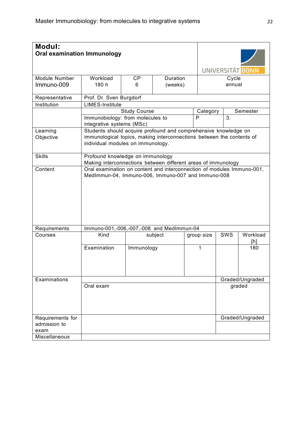| Modul:<br><b>Oral examination Immunology</b> |                                                                                                                              |                                                                                                                                                                               |          |            |        | UNIVERSITÄT BONN |  |  |
|----------------------------------------------|------------------------------------------------------------------------------------------------------------------------------|-------------------------------------------------------------------------------------------------------------------------------------------------------------------------------|----------|------------|--------|------------------|--|--|
|                                              |                                                                                                                              |                                                                                                                                                                               |          |            |        |                  |  |  |
| Module Number                                | Workload                                                                                                                     | CP                                                                                                                                                                            | Duration |            | Cycle  |                  |  |  |
| Immuno-009                                   | 180 h                                                                                                                        | 6                                                                                                                                                                             | (weeks)  |            | annual |                  |  |  |
| Representative                               | Prof. Dr. Sven Burgdorf                                                                                                      |                                                                                                                                                                               |          |            |        |                  |  |  |
| Institution                                  | <b>LIMES-Institute</b>                                                                                                       |                                                                                                                                                                               |          |            |        |                  |  |  |
|                                              |                                                                                                                              | Study Course                                                                                                                                                                  |          | Category   |        | Semester         |  |  |
|                                              | Immunobiology: from molecules to<br>integrative systems (MSc)                                                                |                                                                                                                                                                               |          | P          | 3.     |                  |  |  |
| Learning<br>Objective                        |                                                                                                                              | Students should acquire profound and comprehensive knowledge on<br>immunological topics, making interconnections between the contents of<br>individual modules on immunology. |          |            |        |                  |  |  |
| <b>Skills</b>                                |                                                                                                                              | Profound knowledge on immunology<br>Making interconnections between different areas of immunology                                                                             |          |            |        |                  |  |  |
| Content                                      | Oral examination on content and interconnection of modules Immuno-001,<br>MedImmun-04, Immuno-006, Immuno-007 and Immuno-008 |                                                                                                                                                                               |          |            |        |                  |  |  |
| Requirements                                 | Immuno-001,-006,-007,-008 and MedImmun-04                                                                                    |                                                                                                                                                                               |          |            |        |                  |  |  |
| Courses                                      | Kind                                                                                                                         |                                                                                                                                                                               | subject  | group size | SWS    | Workload<br>[h]  |  |  |
|                                              | Examination                                                                                                                  | Immunology                                                                                                                                                                    |          | 1          |        | 180              |  |  |
| Examinations                                 |                                                                                                                              |                                                                                                                                                                               |          |            |        | Graded/Ungraded  |  |  |
|                                              | Oral exam                                                                                                                    |                                                                                                                                                                               |          |            |        | graded           |  |  |
| Requirements for<br>admission to<br>exam     |                                                                                                                              |                                                                                                                                                                               |          |            |        | Graded/Ungraded  |  |  |
| Miscellaneous                                |                                                                                                                              |                                                                                                                                                                               |          |            |        |                  |  |  |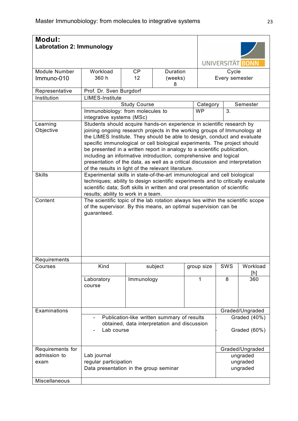| <b>Modul:</b>               | <b>Labrotation 2: Immunology</b>                                                                                                                                                                                                                                                   |                                                                                                                                                                                                                                                                                                                                                                                                                                                                                                                                                                                                    |                                 |  |                  |                         |                                  |  |  |
|-----------------------------|------------------------------------------------------------------------------------------------------------------------------------------------------------------------------------------------------------------------------------------------------------------------------------|----------------------------------------------------------------------------------------------------------------------------------------------------------------------------------------------------------------------------------------------------------------------------------------------------------------------------------------------------------------------------------------------------------------------------------------------------------------------------------------------------------------------------------------------------------------------------------------------------|---------------------------------|--|------------------|-------------------------|----------------------------------|--|--|
|                             |                                                                                                                                                                                                                                                                                    |                                                                                                                                                                                                                                                                                                                                                                                                                                                                                                                                                                                                    |                                 |  | UNIVERSITÄT BONN |                         |                                  |  |  |
| Module Number<br>Immuno-010 | Workload<br>360 h                                                                                                                                                                                                                                                                  | CP<br>12                                                                                                                                                                                                                                                                                                                                                                                                                                                                                                                                                                                           | <b>Duration</b><br>(weeks)<br>8 |  |                  | Cycle<br>Every semester |                                  |  |  |
| Representative              | Prof. Dr. Sven Burgdorf                                                                                                                                                                                                                                                            |                                                                                                                                                                                                                                                                                                                                                                                                                                                                                                                                                                                                    |                                 |  |                  |                         |                                  |  |  |
| Institution                 | <b>LIMES-Institute</b>                                                                                                                                                                                                                                                             |                                                                                                                                                                                                                                                                                                                                                                                                                                                                                                                                                                                                    |                                 |  |                  |                         |                                  |  |  |
|                             |                                                                                                                                                                                                                                                                                    | <b>Study Course</b><br>Category                                                                                                                                                                                                                                                                                                                                                                                                                                                                                                                                                                    |                                 |  |                  |                         | Semester                         |  |  |
|                             | Immunobiology: from molecules to<br>integrative systems (MSc)                                                                                                                                                                                                                      |                                                                                                                                                                                                                                                                                                                                                                                                                                                                                                                                                                                                    |                                 |  | <b>WP</b>        | 3.                      |                                  |  |  |
| Learning<br>Objective       |                                                                                                                                                                                                                                                                                    | Students should acquire hands-on experience in scientific research by<br>joining ongoing research projects in the working groups of Immunology at<br>the LIMES Institute. They should be able to design, conduct and evaluate<br>specific immunological or cell biological experiments. The project should<br>be presented in a written report in analogy to a scientific publication,<br>including an informative introduction, comprehensive and logical<br>presentation of the data, as well as a critical discussion and interpretation<br>of the results in light of the relevant literature. |                                 |  |                  |                         |                                  |  |  |
| <b>Skills</b>               | Experimental skills in state-of-the-art immunological and cell biological<br>techniques; ability to design scientific experiments and to critically evaluate<br>scientific data; Soft skills in written and oral presentation of scientific<br>results; ability to work in a team. |                                                                                                                                                                                                                                                                                                                                                                                                                                                                                                                                                                                                    |                                 |  |                  |                         |                                  |  |  |
| Content                     | The scientific topic of the lab rotation always lies within the scientific scope<br>of the supervisor. By this means, an optimal supervision can be<br>guaranteed.                                                                                                                 |                                                                                                                                                                                                                                                                                                                                                                                                                                                                                                                                                                                                    |                                 |  |                  |                         |                                  |  |  |
| Requirements                |                                                                                                                                                                                                                                                                                    |                                                                                                                                                                                                                                                                                                                                                                                                                                                                                                                                                                                                    |                                 |  |                  |                         |                                  |  |  |
| Courses                     | Kind                                                                                                                                                                                                                                                                               |                                                                                                                                                                                                                                                                                                                                                                                                                                                                                                                                                                                                    | subject                         |  | group size       | SWS                     | Workload<br>[h]                  |  |  |
|                             | Laboratory<br>course                                                                                                                                                                                                                                                               | Immunology                                                                                                                                                                                                                                                                                                                                                                                                                                                                                                                                                                                         |                                 |  | 1                | 8                       | 360                              |  |  |
| Examinations                |                                                                                                                                                                                                                                                                                    |                                                                                                                                                                                                                                                                                                                                                                                                                                                                                                                                                                                                    |                                 |  |                  |                         | Graded/Ungraded                  |  |  |
|                             | Publication-like written summary of results<br>Graded (40%)<br>obtained, data interpretation and discussion<br>Lab course<br>Graded (60%)                                                                                                                                          |                                                                                                                                                                                                                                                                                                                                                                                                                                                                                                                                                                                                    |                                 |  |                  |                         |                                  |  |  |
| Requirements for            |                                                                                                                                                                                                                                                                                    |                                                                                                                                                                                                                                                                                                                                                                                                                                                                                                                                                                                                    |                                 |  |                  |                         | Graded/Ungraded                  |  |  |
| admission to<br>exam        | Lab journal<br>regular participation<br>Data presentation in the group seminar                                                                                                                                                                                                     |                                                                                                                                                                                                                                                                                                                                                                                                                                                                                                                                                                                                    |                                 |  |                  |                         | ungraded<br>ungraded<br>ungraded |  |  |
| Miscellaneous               |                                                                                                                                                                                                                                                                                    |                                                                                                                                                                                                                                                                                                                                                                                                                                                                                                                                                                                                    |                                 |  |                  |                         |                                  |  |  |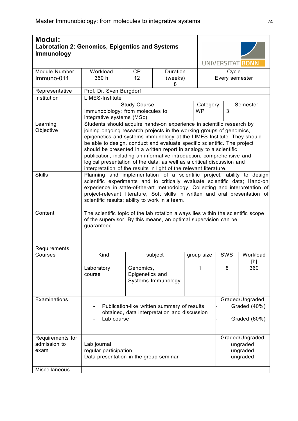| Modul:<br><b>Labrotation 2: Genomics, Epigentics and Systems</b><br><b>Immunology</b> |                                                                                                                                                                                                                                                                                                                                                                        |                                                                                                                                                                                                                                                                                                                                                                                                                                                                                                                                                                                                    |                    |            |          | UNIVERSITÄT BONN             |                                  |  |  |
|---------------------------------------------------------------------------------------|------------------------------------------------------------------------------------------------------------------------------------------------------------------------------------------------------------------------------------------------------------------------------------------------------------------------------------------------------------------------|----------------------------------------------------------------------------------------------------------------------------------------------------------------------------------------------------------------------------------------------------------------------------------------------------------------------------------------------------------------------------------------------------------------------------------------------------------------------------------------------------------------------------------------------------------------------------------------------------|--------------------|------------|----------|------------------------------|----------------------------------|--|--|
| Module Number                                                                         | Workload                                                                                                                                                                                                                                                                                                                                                               | <b>CP</b>                                                                                                                                                                                                                                                                                                                                                                                                                                                                                                                                                                                          | Duration           |            |          | Cycle                        |                                  |  |  |
| Immuno-011                                                                            | 360 h                                                                                                                                                                                                                                                                                                                                                                  | 12 <sup>2</sup>                                                                                                                                                                                                                                                                                                                                                                                                                                                                                                                                                                                    | (weeks)<br>8       |            |          | Every semester               |                                  |  |  |
| Representative                                                                        | Prof. Dr. Sven Burgdorf                                                                                                                                                                                                                                                                                                                                                |                                                                                                                                                                                                                                                                                                                                                                                                                                                                                                                                                                                                    |                    |            |          |                              |                                  |  |  |
| Institution                                                                           | <b>LIMES-Institute</b>                                                                                                                                                                                                                                                                                                                                                 |                                                                                                                                                                                                                                                                                                                                                                                                                                                                                                                                                                                                    |                    |            |          |                              |                                  |  |  |
|                                                                                       |                                                                                                                                                                                                                                                                                                                                                                        | <b>Study Course</b>                                                                                                                                                                                                                                                                                                                                                                                                                                                                                                                                                                                |                    |            | Category |                              | Semester                         |  |  |
|                                                                                       | Immunobiology: from molecules to<br>integrative systems (MSc)                                                                                                                                                                                                                                                                                                          |                                                                                                                                                                                                                                                                                                                                                                                                                                                                                                                                                                                                    |                    | <b>WP</b>  |          | 3.                           |                                  |  |  |
| Learning<br>Objective                                                                 |                                                                                                                                                                                                                                                                                                                                                                        | Students should acquire hands-on experience in scientific research by<br>joining ongoing research projects in the working groups of genomics,<br>epigenetics and systems immunology at the LIMES Institute. They should<br>be able to design, conduct and evaluate specific scientific. The project<br>should be presented in a written report in analogy to a scientific<br>publication, including an informative introduction, comprehensive and<br>logical presentation of the data, as well as a critical discussion and<br>interpretation of the results in light of the relevant literature. |                    |            |          |                              |                                  |  |  |
| <b>Skills</b>                                                                         | Planning and implementation of a scientific project, ability to design<br>scientific experiments and to critically evaluate scientific data; Hand-on<br>experience in state-of-the-art methodology, Collecting and interpretation of<br>project-relevant literature, Soft skills in written and oral presentation of<br>scientific results; ability to work in a team. |                                                                                                                                                                                                                                                                                                                                                                                                                                                                                                                                                                                                    |                    |            |          |                              |                                  |  |  |
| Content                                                                               | The scientific topic of the lab rotation always lies within the scientific scope<br>of the supervisor. By this means, an optimal supervision can be<br>guaranteed.                                                                                                                                                                                                     |                                                                                                                                                                                                                                                                                                                                                                                                                                                                                                                                                                                                    |                    |            |          |                              |                                  |  |  |
| Requirements                                                                          |                                                                                                                                                                                                                                                                                                                                                                        |                                                                                                                                                                                                                                                                                                                                                                                                                                                                                                                                                                                                    |                    |            |          |                              |                                  |  |  |
| Courses                                                                               | Kind                                                                                                                                                                                                                                                                                                                                                                   |                                                                                                                                                                                                                                                                                                                                                                                                                                                                                                                                                                                                    | subject            | group size |          | SWS                          | Workload<br>[h]                  |  |  |
|                                                                                       | Laboratory<br>course                                                                                                                                                                                                                                                                                                                                                   | Genomics,<br>Epigenetics and                                                                                                                                                                                                                                                                                                                                                                                                                                                                                                                                                                       | Systems Immunology | 1          |          | 8                            | 360                              |  |  |
| Examinations                                                                          |                                                                                                                                                                                                                                                                                                                                                                        |                                                                                                                                                                                                                                                                                                                                                                                                                                                                                                                                                                                                    |                    |            |          |                              | Graded/Ungraded                  |  |  |
|                                                                                       | Publication-like written summary of results<br>obtained, data interpretation and discussion<br>Lab course                                                                                                                                                                                                                                                              |                                                                                                                                                                                                                                                                                                                                                                                                                                                                                                                                                                                                    |                    |            |          | Graded (40%)<br>Graded (60%) |                                  |  |  |
| Requirements for                                                                      |                                                                                                                                                                                                                                                                                                                                                                        |                                                                                                                                                                                                                                                                                                                                                                                                                                                                                                                                                                                                    |                    |            |          |                              | Graded/Ungraded                  |  |  |
| admission to<br>exam                                                                  | Lab journal<br>regular participation<br>Data presentation in the group seminar                                                                                                                                                                                                                                                                                         |                                                                                                                                                                                                                                                                                                                                                                                                                                                                                                                                                                                                    |                    |            |          |                              | ungraded<br>ungraded<br>ungraded |  |  |
| Miscellaneous                                                                         |                                                                                                                                                                                                                                                                                                                                                                        |                                                                                                                                                                                                                                                                                                                                                                                                                                                                                                                                                                                                    |                    |            |          |                              |                                  |  |  |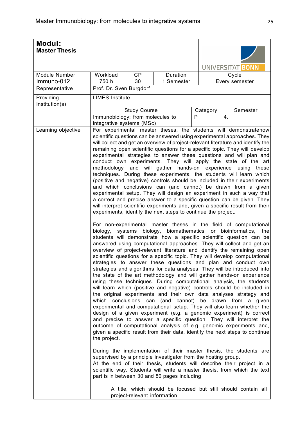| UNIVERSITÄT BONN<br>Duration<br>Module Number<br>Workload<br><b>CP</b><br>Cycle<br>Immuno-012<br>750 h<br>30<br>1 Semester<br>Every semester<br>Prof. Dr. Sven Burgdorf<br>Representative<br><b>LIMES</b> Institute<br>Providing<br>Institution(s)<br><b>Study Course</b><br>Category<br>Semester<br>P<br>Immunobiology: from molecules to<br>4.<br>integrative systems (MSc)<br>Learning objective<br>For experimental master theses, the students will demonstratehow<br>scientific questions can be answered using experimental approaches. They<br>will collect and get an overview of project-relevant literature and identify the<br>remaining open scientific questions for a specific topic. They will develop<br>experimental strategies to answer these questions and will plan and<br>conduct own experiments. They will apply the state of the art<br>methodology and will gather hands-on experience using<br>techniques. During these experiments, the students will learn which<br>(positive and negative) controls should be included in their experiments<br>and which conclusions can (and cannot) be drawn from a given<br>experimental setup. They will design an experiment in such a way that<br>a correct and precise answer to a specific question can be given. They<br>will interpret scientific experiments and, given a specific result from their<br>experiments, identify the next steps to continue the project.<br>For non-experimental master theses in the field of computational<br>biology, biomathematics or bioinformatics,<br>biology,<br>systems<br>students will demonstrate how a specific scientific question can be<br>answered using computational approaches. They will collect and get an<br>overview of project-relevant literature and identify the remaining open<br>scientific questions for a specific topic. They will develop computational<br>strategies to answer these questions and plan and conduct own<br>strategies and algorithms for data analyses. They will be introduced into<br>the state of the art methodology and will gather hands-on experience<br>using these techniques. During computational analysis, the students<br>will learn which (positive and negative) controls should be included in<br>the original experiments and their own data analyses strategy and<br>conclusions can (and cannot) be drawn from<br>which<br>experimental and computational setup. They will also learn whether the<br>design of a given experiment (e.g. a genomic experiment) is correct<br>and precise to answer a specific question. They will interpret the<br>outcome of computational analysis of e.g. genomic experiments and,<br>given a specific result from their data, identify the next steps to continue<br>the project.<br>During the implementation of their master thesis, the students are<br>supervised by a principle investigator from the hosting group. | <b>Modul:</b><br><b>Master Thesis</b> |  |  |                         |
|--------------------------------------------------------------------------------------------------------------------------------------------------------------------------------------------------------------------------------------------------------------------------------------------------------------------------------------------------------------------------------------------------------------------------------------------------------------------------------------------------------------------------------------------------------------------------------------------------------------------------------------------------------------------------------------------------------------------------------------------------------------------------------------------------------------------------------------------------------------------------------------------------------------------------------------------------------------------------------------------------------------------------------------------------------------------------------------------------------------------------------------------------------------------------------------------------------------------------------------------------------------------------------------------------------------------------------------------------------------------------------------------------------------------------------------------------------------------------------------------------------------------------------------------------------------------------------------------------------------------------------------------------------------------------------------------------------------------------------------------------------------------------------------------------------------------------------------------------------------------------------------------------------------------------------------------------------------------------------------------------------------------------------------------------------------------------------------------------------------------------------------------------------------------------------------------------------------------------------------------------------------------------------------------------------------------------------------------------------------------------------------------------------------------------------------------------------------------------------------------------------------------------------------------------------------------------------------------------------------------------------------------------------------------------------------------------------------------------------------------------------------------------------------------------------------------------------------------------------------------------------------------------------------------------------------------|---------------------------------------|--|--|-------------------------|
|                                                                                                                                                                                                                                                                                                                                                                                                                                                                                                                                                                                                                                                                                                                                                                                                                                                                                                                                                                                                                                                                                                                                                                                                                                                                                                                                                                                                                                                                                                                                                                                                                                                                                                                                                                                                                                                                                                                                                                                                                                                                                                                                                                                                                                                                                                                                                                                                                                                                                                                                                                                                                                                                                                                                                                                                                                                                                                                                            |                                       |  |  |                         |
|                                                                                                                                                                                                                                                                                                                                                                                                                                                                                                                                                                                                                                                                                                                                                                                                                                                                                                                                                                                                                                                                                                                                                                                                                                                                                                                                                                                                                                                                                                                                                                                                                                                                                                                                                                                                                                                                                                                                                                                                                                                                                                                                                                                                                                                                                                                                                                                                                                                                                                                                                                                                                                                                                                                                                                                                                                                                                                                                            |                                       |  |  |                         |
|                                                                                                                                                                                                                                                                                                                                                                                                                                                                                                                                                                                                                                                                                                                                                                                                                                                                                                                                                                                                                                                                                                                                                                                                                                                                                                                                                                                                                                                                                                                                                                                                                                                                                                                                                                                                                                                                                                                                                                                                                                                                                                                                                                                                                                                                                                                                                                                                                                                                                                                                                                                                                                                                                                                                                                                                                                                                                                                                            |                                       |  |  |                         |
|                                                                                                                                                                                                                                                                                                                                                                                                                                                                                                                                                                                                                                                                                                                                                                                                                                                                                                                                                                                                                                                                                                                                                                                                                                                                                                                                                                                                                                                                                                                                                                                                                                                                                                                                                                                                                                                                                                                                                                                                                                                                                                                                                                                                                                                                                                                                                                                                                                                                                                                                                                                                                                                                                                                                                                                                                                                                                                                                            |                                       |  |  |                         |
|                                                                                                                                                                                                                                                                                                                                                                                                                                                                                                                                                                                                                                                                                                                                                                                                                                                                                                                                                                                                                                                                                                                                                                                                                                                                                                                                                                                                                                                                                                                                                                                                                                                                                                                                                                                                                                                                                                                                                                                                                                                                                                                                                                                                                                                                                                                                                                                                                                                                                                                                                                                                                                                                                                                                                                                                                                                                                                                                            |                                       |  |  |                         |
|                                                                                                                                                                                                                                                                                                                                                                                                                                                                                                                                                                                                                                                                                                                                                                                                                                                                                                                                                                                                                                                                                                                                                                                                                                                                                                                                                                                                                                                                                                                                                                                                                                                                                                                                                                                                                                                                                                                                                                                                                                                                                                                                                                                                                                                                                                                                                                                                                                                                                                                                                                                                                                                                                                                                                                                                                                                                                                                                            |                                       |  |  |                         |
|                                                                                                                                                                                                                                                                                                                                                                                                                                                                                                                                                                                                                                                                                                                                                                                                                                                                                                                                                                                                                                                                                                                                                                                                                                                                                                                                                                                                                                                                                                                                                                                                                                                                                                                                                                                                                                                                                                                                                                                                                                                                                                                                                                                                                                                                                                                                                                                                                                                                                                                                                                                                                                                                                                                                                                                                                                                                                                                                            |                                       |  |  |                         |
|                                                                                                                                                                                                                                                                                                                                                                                                                                                                                                                                                                                                                                                                                                                                                                                                                                                                                                                                                                                                                                                                                                                                                                                                                                                                                                                                                                                                                                                                                                                                                                                                                                                                                                                                                                                                                                                                                                                                                                                                                                                                                                                                                                                                                                                                                                                                                                                                                                                                                                                                                                                                                                                                                                                                                                                                                                                                                                                                            |                                       |  |  |                         |
| At the end of their thesis, students will describe their project in a<br>scientific way. Students will write a master thesis, from which the text<br>part is in between 30 and 80 pages including<br>A title, which should be focused but still should contain all<br>project-relevant information                                                                                                                                                                                                                                                                                                                                                                                                                                                                                                                                                                                                                                                                                                                                                                                                                                                                                                                                                                                                                                                                                                                                                                                                                                                                                                                                                                                                                                                                                                                                                                                                                                                                                                                                                                                                                                                                                                                                                                                                                                                                                                                                                                                                                                                                                                                                                                                                                                                                                                                                                                                                                                         |                                       |  |  | these<br>the<br>a given |